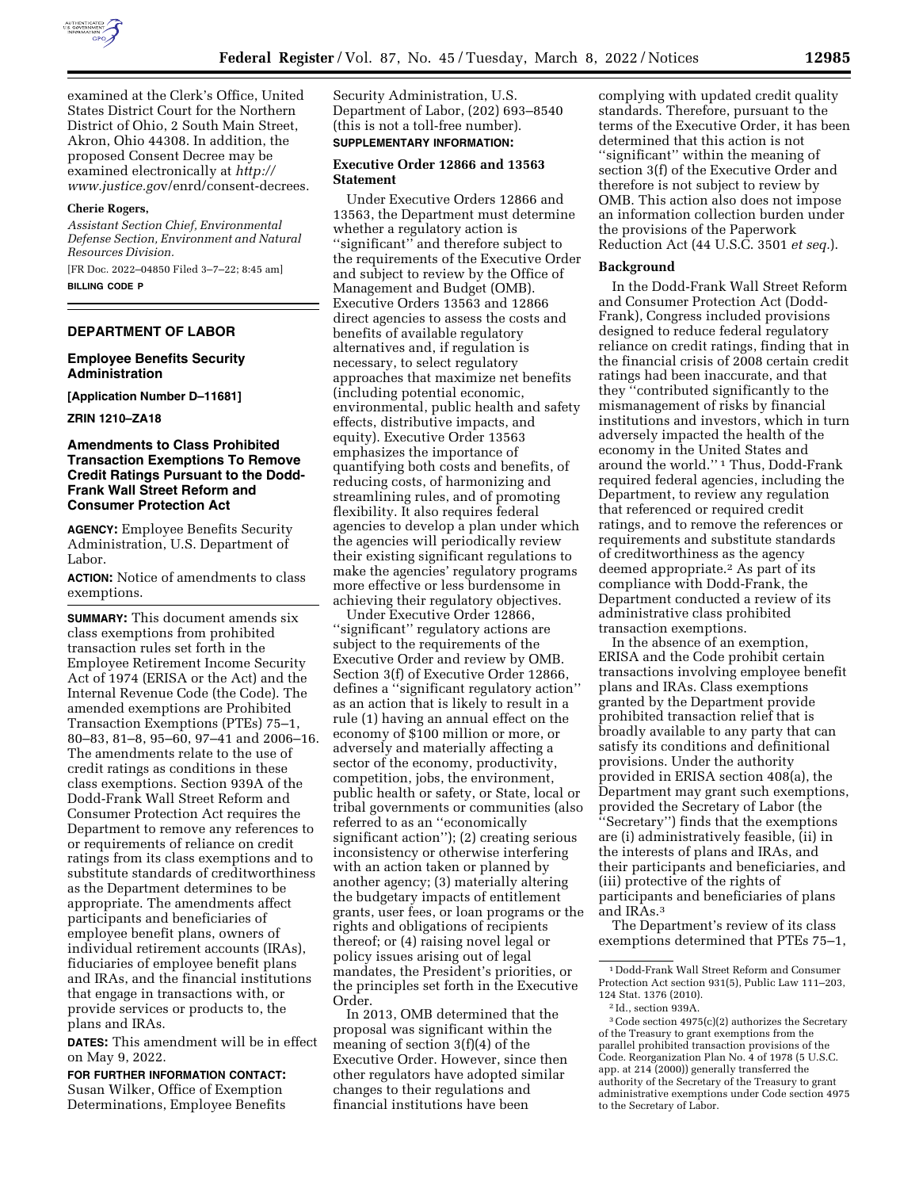

examined at the Clerk's Office, United States District Court for the Northern District of Ohio, 2 South Main Street, Akron, Ohio 44308. In addition, the proposed Consent Decree may be examined electronically at *[http://](https://www.regulations.gov) www.justice.go*[v/enrd/consent-decrees.](https://www.regulations.gov)

### **Cherie Rogers,**

*Assistant Section Chief, Environmental Defense Section, Environment and Natural Resources Division.* 

[FR Doc. 2022–04850 Filed 3–7–22; 8:45 am] **BILLING CODE P** 

# **DEPARTMENT OF LABOR**

### **Employee Benefits Security Administration**

**[Application Number D–11681]** 

**ZRIN 1210–ZA18** 

# **Amendments to Class Prohibited Transaction Exemptions To Remove Credit Ratings Pursuant to the Dodd-Frank Wall Street Reform and Consumer Protection Act**

**AGENCY:** Employee Benefits Security Administration, U.S. Department of Labor.

**ACTION:** Notice of amendments to class exemptions.

**SUMMARY:** This document amends six class exemptions from prohibited transaction rules set forth in the Employee Retirement Income Security Act of 1974 (ERISA or the Act) and the Internal Revenue Code (the Code). The amended exemptions are Prohibited Transaction Exemptions (PTEs) 75–1, 80–83, 81–8, 95–60, 97–41 and 2006–16. The amendments relate to the use of credit ratings as conditions in these class exemptions. Section 939A of the Dodd-Frank Wall Street Reform and Consumer Protection Act requires the Department to remove any references to or requirements of reliance on credit ratings from its class exemptions and to substitute standards of creditworthiness as the Department determines to be appropriate. The amendments affect participants and beneficiaries of employee benefit plans, owners of individual retirement accounts (IRAs), fiduciaries of employee benefit plans and IRAs, and the financial institutions that engage in transactions with, or provide services or products to, the plans and IRAs.

**DATES:** This amendment will be in effect on May 9, 2022.

**FOR FURTHER INFORMATION CONTACT:**  Susan Wilker, Office of Exemption Determinations, Employee Benefits

Security Administration, U.S. Department of Labor, (202) 693–8540 (this is not a toll-free number). **SUPPLEMENTARY INFORMATION:** 

# **Executive Order 12866 and 13563**

**Statement** 

Under Executive Orders 12866 and 13563, the Department must determine whether a regulatory action is ''significant'' and therefore subject to the requirements of the Executive Order and subject to review by the Office of Management and Budget (OMB). Executive Orders 13563 and 12866 direct agencies to assess the costs and benefits of available regulatory alternatives and, if regulation is necessary, to select regulatory approaches that maximize net benefits (including potential economic, environmental, public health and safety effects, distributive impacts, and equity). Executive Order 13563 emphasizes the importance of quantifying both costs and benefits, of reducing costs, of harmonizing and streamlining rules, and of promoting flexibility. It also requires federal agencies to develop a plan under which the agencies will periodically review their existing significant regulations to make the agencies' regulatory programs more effective or less burdensome in achieving their regulatory objectives.

Under Executive Order 12866, ''significant'' regulatory actions are subject to the requirements of the Executive Order and review by OMB. Section 3(f) of Executive Order 12866, defines a ''significant regulatory action'' as an action that is likely to result in a rule (1) having an annual effect on the economy of \$100 million or more, or adversely and materially affecting a sector of the economy, productivity, competition, jobs, the environment, public health or safety, or State, local or tribal governments or communities (also referred to as an ''economically significant action''); (2) creating serious inconsistency or otherwise interfering with an action taken or planned by another agency; (3) materially altering the budgetary impacts of entitlement grants, user fees, or loan programs or the rights and obligations of recipients thereof; or (4) raising novel legal or policy issues arising out of legal mandates, the President's priorities, or the principles set forth in the Executive Order.

In 2013, OMB determined that the proposal was significant within the meaning of section 3(f)(4) of the Executive Order. However, since then other regulators have adopted similar changes to their regulations and financial institutions have been

complying with updated credit quality standards. Therefore, pursuant to the terms of the Executive Order, it has been determined that this action is not ''significant'' within the meaning of section 3(f) of the Executive Order and therefore is not subject to review by OMB. This action also does not impose an information collection burden under the provisions of the Paperwork Reduction Act (44 U.S.C. 3501 *et seq.*).

#### **Background**

In the Dodd-Frank Wall Street Reform and Consumer Protection Act (Dodd-Frank), Congress included provisions designed to reduce federal regulatory reliance on credit ratings, finding that in the financial crisis of 2008 certain credit ratings had been inaccurate, and that they ''contributed significantly to the mismanagement of risks by financial institutions and investors, which in turn adversely impacted the health of the economy in the United States and around the world.'' 1 Thus, Dodd-Frank required federal agencies, including the Department, to review any regulation that referenced or required credit ratings, and to remove the references or requirements and substitute standards of creditworthiness as the agency deemed appropriate.2 As part of its compliance with Dodd-Frank, the Department conducted a review of its administrative class prohibited transaction exemptions.

In the absence of an exemption, ERISA and the Code prohibit certain transactions involving employee benefit plans and IRAs. Class exemptions granted by the Department provide prohibited transaction relief that is broadly available to any party that can satisfy its conditions and definitional provisions. Under the authority provided in ERISA section 408(a), the Department may grant such exemptions, provided the Secretary of Labor (the ''Secretary'') finds that the exemptions are (i) administratively feasible, (ii) in the interests of plans and IRAs, and their participants and beneficiaries, and (iii) protective of the rights of participants and beneficiaries of plans and IRAs.3

The Department's review of its class exemptions determined that PTEs 75–1,

<sup>1</sup> Dodd-Frank Wall Street Reform and Consumer Protection Act section 931(5), Public Law 111–203, 124 Stat. 1376 (2010).

<sup>2</sup> Id., section 939A.

<sup>3</sup>Code section 4975(c)(2) authorizes the Secretary of the Treasury to grant exemptions from the parallel prohibited transaction provisions of the Code. Reorganization Plan No. 4 of 1978 (5 U.S.C. app. at 214 (2000)) generally transferred the authority of the Secretary of the Treasury to grant administrative exemptions under Code section 4975 to the Secretary of Labor.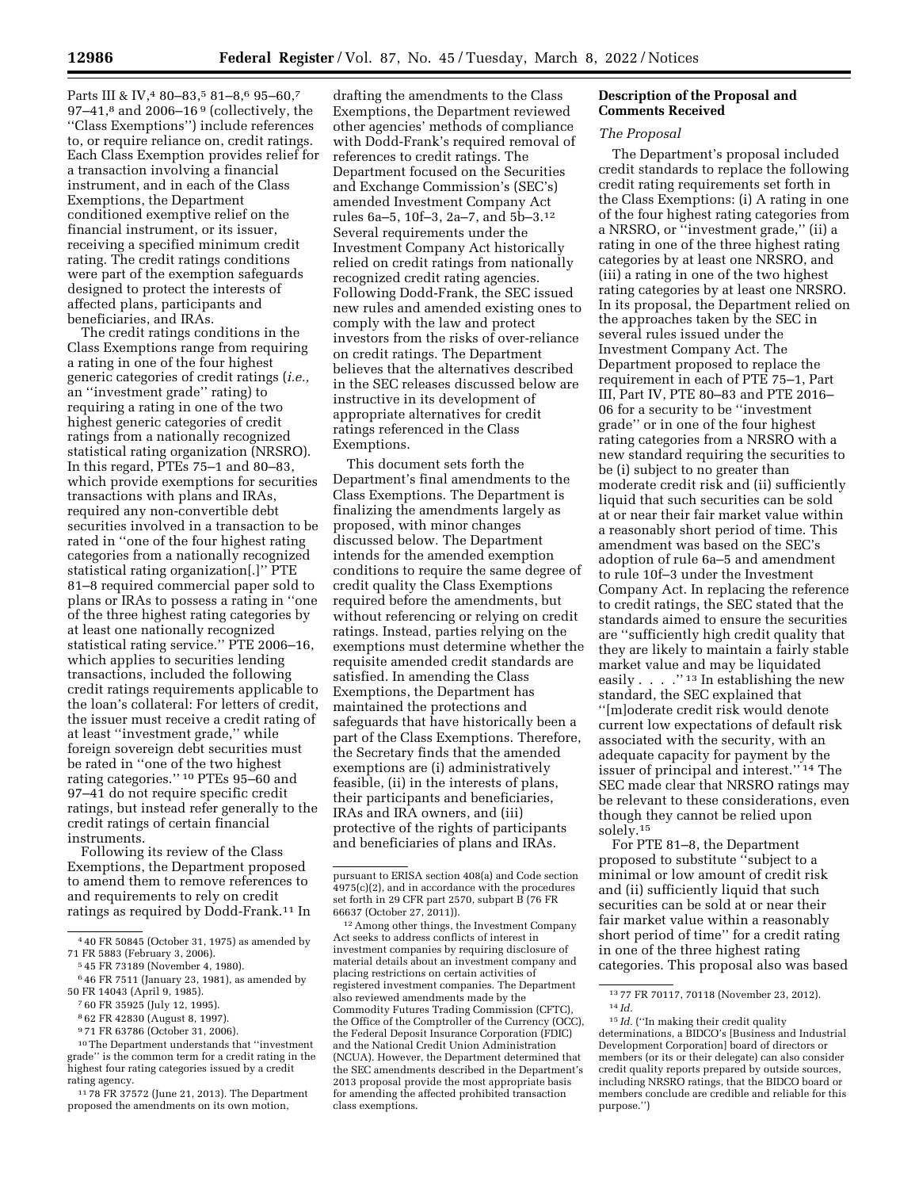Parts III & IV,<sup>4</sup> 80-83,<sup>5</sup> 81-8,<sup>6</sup> 95-60,<sup>7</sup> 97–41, $^8$  and 2006–16 $^9$  (collectively, the ''Class Exemptions'') include references to, or require reliance on, credit ratings. Each Class Exemption provides relief for a transaction involving a financial instrument, and in each of the Class Exemptions, the Department conditioned exemptive relief on the financial instrument, or its issuer, receiving a specified minimum credit rating. The credit ratings conditions were part of the exemption safeguards designed to protect the interests of affected plans, participants and beneficiaries, and IRAs.

The credit ratings conditions in the Class Exemptions range from requiring a rating in one of the four highest generic categories of credit ratings (*i.e.,*  an ''investment grade'' rating) to requiring a rating in one of the two highest generic categories of credit ratings from a nationally recognized statistical rating organization (NRSRO). In this regard, PTEs 75–1 and 80–83, which provide exemptions for securities transactions with plans and IRAs, required any non-convertible debt securities involved in a transaction to be rated in ''one of the four highest rating categories from a nationally recognized statistical rating organization[.]'' PTE 81–8 required commercial paper sold to plans or IRAs to possess a rating in ''one of the three highest rating categories by at least one nationally recognized statistical rating service.'' PTE 2006–16, which applies to securities lending transactions, included the following credit ratings requirements applicable to the loan's collateral: For letters of credit, the issuer must receive a credit rating of at least ''investment grade,'' while foreign sovereign debt securities must be rated in ''one of the two highest rating categories.'' 10 PTEs 95–60 and 97–41 do not require specific credit ratings, but instead refer generally to the credit ratings of certain financial instruments.

Following its review of the Class Exemptions, the Department proposed to amend them to remove references to and requirements to rely on credit ratings as required by Dodd-Frank.11 In

- 7 60 FR 35925 (July 12, 1995).
- 8 62 FR 42830 (August 8, 1997).
- 9 71 FR 63786 (October 31, 2006).
- 10The Department understands that ''investment

grade'' is the common term for a credit rating in the highest four rating categories issued by a credit rating agency.

11 78 FR 37572 (June 21, 2013). The Department proposed the amendments on its own motion,

drafting the amendments to the Class Exemptions, the Department reviewed other agencies' methods of compliance with Dodd-Frank's required removal of references to credit ratings. The Department focused on the Securities and Exchange Commission's (SEC's) amended Investment Company Act rules 6a–5, 10f–3, 2a–7, and 5b–3.12 Several requirements under the Investment Company Act historically relied on credit ratings from nationally recognized credit rating agencies. Following Dodd-Frank, the SEC issued new rules and amended existing ones to comply with the law and protect investors from the risks of over-reliance on credit ratings. The Department believes that the alternatives described in the SEC releases discussed below are instructive in its development of appropriate alternatives for credit ratings referenced in the Class Exemptions.

This document sets forth the Department's final amendments to the Class Exemptions. The Department is finalizing the amendments largely as proposed, with minor changes discussed below. The Department intends for the amended exemption conditions to require the same degree of credit quality the Class Exemptions required before the amendments, but without referencing or relying on credit ratings. Instead, parties relying on the exemptions must determine whether the requisite amended credit standards are satisfied. In amending the Class Exemptions, the Department has maintained the protections and safeguards that have historically been a part of the Class Exemptions. Therefore, the Secretary finds that the amended exemptions are (i) administratively feasible, (ii) in the interests of plans, their participants and beneficiaries, IRAs and IRA owners, and (iii) protective of the rights of participants and beneficiaries of plans and IRAs.

12Among other things, the Investment Company Act seeks to address conflicts of interest in investment companies by requiring disclosure of material details about an investment company and placing restrictions on certain activities of registered investment companies. The Department also reviewed amendments made by the Commodity Futures Trading Commission (CFTC), the Office of the Comptroller of the Currency (OCC), the Federal Deposit Insurance Corporation (FDIC) and the National Credit Union Administration (NCUA). However, the Department determined that the SEC amendments described in the Department's 2013 proposal provide the most appropriate basis for amending the affected prohibited transaction class exemptions.

# **Description of the Proposal and Comments Received**

# *The Proposal*

The Department's proposal included credit standards to replace the following credit rating requirements set forth in the Class Exemptions: (i) A rating in one of the four highest rating categories from a NRSRO, or ''investment grade,'' (ii) a rating in one of the three highest rating categories by at least one NRSRO, and (iii) a rating in one of the two highest rating categories by at least one NRSRO. In its proposal, the Department relied on the approaches taken by the SEC in several rules issued under the Investment Company Act. The Department proposed to replace the requirement in each of PTE 75–1, Part III, Part IV, PTE 80–83 and PTE 2016– 06 for a security to be ''investment grade'' or in one of the four highest rating categories from a NRSRO with a new standard requiring the securities to be (i) subject to no greater than moderate credit risk and (ii) sufficiently liquid that such securities can be sold at or near their fair market value within a reasonably short period of time. This amendment was based on the SEC's adoption of rule 6a–5 and amendment to rule 10f–3 under the Investment Company Act. In replacing the reference to credit ratings, the SEC stated that the standards aimed to ensure the securities are ''sufficiently high credit quality that they are likely to maintain a fairly stable market value and may be liquidated easily . . . . . "<sup>13</sup> In establishing the new standard, the SEC explained that ''[m]oderate credit risk would denote current low expectations of default risk associated with the security, with an adequate capacity for payment by the issuer of principal and interest.'' 14 The SEC made clear that NRSRO ratings may be relevant to these considerations, even though they cannot be relied upon solely.15

For PTE 81–8, the Department proposed to substitute ''subject to a minimal or low amount of credit risk and (ii) sufficiently liquid that such securities can be sold at or near their fair market value within a reasonably short period of time'' for a credit rating in one of the three highest rating categories. This proposal also was based

<sup>4</sup> 40 FR 50845 (October 31, 1975) as amended by

<sup>71</sup> FR 5883 (February 3, 2006). 5 45 FR 73189 (November 4, 1980).

<sup>6</sup> 46 FR 7511 (January 23, 1981), as amended by 50 FR 14043 (April 9, 1985).

pursuant to ERISA section 408(a) and Code section  $4975(c)(2)$ , and in accordance with the procedures set forth in 29 CFR part 2570, subpart B (76 FR 66637 (October 27, 2011)).

<sup>13</sup> 77 FR 70117, 70118 (November 23, 2012). 14 *Id.* 

<sup>&</sup>lt;sup>15</sup> *Id.* ("In making their credit quality determinations, a BIDCO's [Business and Industrial Development Corporation] board of directors or members (or its or their delegate) can also consider credit quality reports prepared by outside sources, including NRSRO ratings, that the BIDCO board or members conclude are credible and reliable for this purpose.'')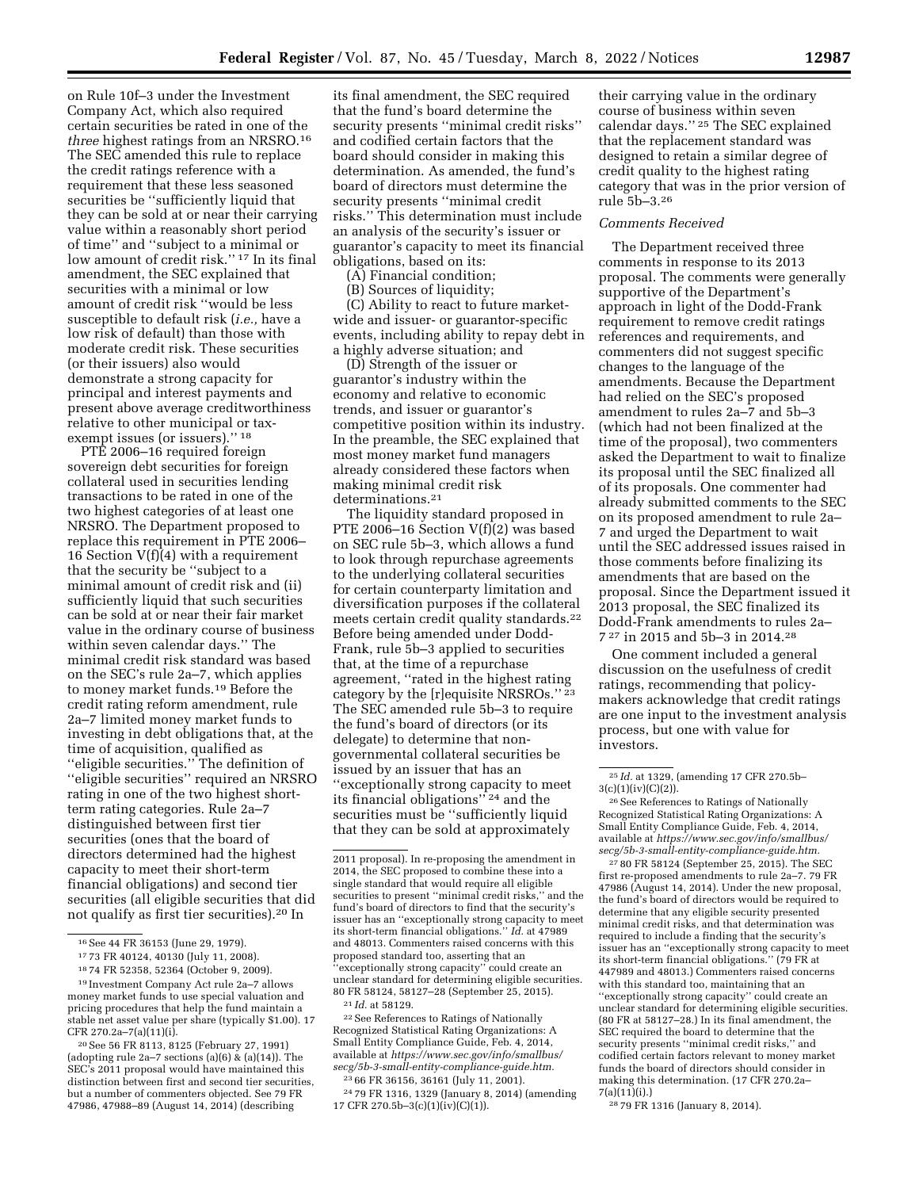on Rule 10f–3 under the Investment Company Act, which also required certain securities be rated in one of the *three* highest ratings from an NRSRO.16 The SEC amended this rule to replace the credit ratings reference with a requirement that these less seasoned securities be ''sufficiently liquid that they can be sold at or near their carrying value within a reasonably short period of time'' and ''subject to a minimal or low amount of credit risk.'' 17 In its final amendment, the SEC explained that securities with a minimal or low amount of credit risk ''would be less susceptible to default risk (*i.e.,* have a low risk of default) than those with moderate credit risk. These securities (or their issuers) also would demonstrate a strong capacity for principal and interest payments and present above average creditworthiness relative to other municipal or taxexempt issues (or issuers)."<sup>18</sup>

PTE 2006–16 required foreign sovereign debt securities for foreign collateral used in securities lending transactions to be rated in one of the two highest categories of at least one NRSRO. The Department proposed to replace this requirement in PTE 2006– 16 Section V(f)(4) with a requirement that the security be ''subject to a minimal amount of credit risk and (ii) sufficiently liquid that such securities can be sold at or near their fair market value in the ordinary course of business within seven calendar days.'' The minimal credit risk standard was based on the SEC's rule 2a–7, which applies to money market funds.19 Before the credit rating reform amendment, rule 2a–7 limited money market funds to investing in debt obligations that, at the time of acquisition, qualified as ''eligible securities.'' The definition of ''eligible securities'' required an NRSRO rating in one of the two highest shortterm rating categories. Rule 2a–7 distinguished between first tier securities (ones that the board of directors determined had the highest capacity to meet their short-term financial obligations) and second tier securities (all eligible securities that did not qualify as first tier securities).20 In

its final amendment, the SEC required that the fund's board determine the security presents ''minimal credit risks'' and codified certain factors that the board should consider in making this determination. As amended, the fund's board of directors must determine the security presents ''minimal credit risks.'' This determination must include an analysis of the security's issuer or guarantor's capacity to meet its financial obligations, based on its:

(A) Financial condition;

(B) Sources of liquidity;

(C) Ability to react to future marketwide and issuer- or guarantor-specific events, including ability to repay debt in a highly adverse situation; and

(D) Strength of the issuer or guarantor's industry within the economy and relative to economic trends, and issuer or guarantor's competitive position within its industry. In the preamble, the SEC explained that most money market fund managers already considered these factors when making minimal credit risk determinations.21

The liquidity standard proposed in PTE 2006–16 Section V(f)(2) was based on SEC rule 5b–3, which allows a fund to look through repurchase agreements to the underlying collateral securities for certain counterparty limitation and diversification purposes if the collateral meets certain credit quality standards.22 Before being amended under Dodd-Frank, rule 5b–3 applied to securities that, at the time of a repurchase agreement, ''rated in the highest rating category by the [r]equisite NRSROs."<sup>23</sup> The SEC amended rule 5b–3 to require the fund's board of directors (or its delegate) to determine that nongovernmental collateral securities be issued by an issuer that has an ''exceptionally strong capacity to meet its financial obligations'' 24 and the securities must be ''sufficiently liquid that they can be sold at approximately

22See References to Ratings of Nationally Recognized Statistical Rating Organizations: A Small Entity Compliance Guide, Feb. 4, 2014, available at *[https://www.sec.gov/info/smallbus/](https://www.sec.gov/info/smallbus/secg/5b-3-small-entity-compliance-guide.htm)  [secg/5b-3-small-entity-compliance-guide.htm.](https://www.sec.gov/info/smallbus/secg/5b-3-small-entity-compliance-guide.htm)* 

23 66 FR 36156, 36161 (July 11, 2001). 24 79 FR 1316, 1329 (January 8, 2014) (amending 17 CFR 270.5b–3(c)(1)(iv)(C)(1)).

their carrying value in the ordinary course of business within seven calendar days.'' 25 The SEC explained that the replacement standard was designed to retain a similar degree of credit quality to the highest rating category that was in the prior version of rule 5b–3.26

### *Comments Received*

The Department received three comments in response to its 2013 proposal. The comments were generally supportive of the Department's approach in light of the Dodd-Frank requirement to remove credit ratings references and requirements, and commenters did not suggest specific changes to the language of the amendments. Because the Department had relied on the SEC's proposed amendment to rules 2a–7 and 5b–3 (which had not been finalized at the time of the proposal), two commenters asked the Department to wait to finalize its proposal until the SEC finalized all of its proposals. One commenter had already submitted comments to the SEC on its proposed amendment to rule 2a– 7 and urged the Department to wait until the SEC addressed issues raised in those comments before finalizing its amendments that are based on the proposal. Since the Department issued it 2013 proposal, the SEC finalized its Dodd-Frank amendments to rules 2a– 7 27 in 2015 and 5b–3 in 2014.28

One comment included a general discussion on the usefulness of credit ratings, recommending that policymakers acknowledge that credit ratings are one input to the investment analysis process, but one with value for investors.

26See References to Ratings of Nationally Recognized Statistical Rating Organizations: A Small Entity Compliance Guide, Feb. 4, 2014, available at *[https://www.sec.gov/info/smallbus/](https://www.sec.gov/info/smallbus/secg/5b-3-small-entity-compliance-guide.htm)  [secg/5b-3-small-entity-compliance-guide.htm.](https://www.sec.gov/info/smallbus/secg/5b-3-small-entity-compliance-guide.htm)* 

27 80 FR 58124 (September 25, 2015). The SEC first re-proposed amendments to rule 2a–7. 79 FR 47986 (August 14, 2014). Under the new proposal, the fund's board of directors would be required to determine that any eligible security presented minimal credit risks, and that determination was required to include a finding that the security's issuer has an ''exceptionally strong capacity to meet its short-term financial obligations.'' (79 FR at 447989 and 48013.) Commenters raised concerns with this standard too, maintaining that an ''exceptionally strong capacity'' could create an unclear standard for determining eligible securities. (80 FR at 58127–28.) In its final amendment, the SEC required the board to determine that the security presents ''minimal credit risks,'' and codified certain factors relevant to money market funds the board of directors should consider in making this determination. (17 CFR 270.2a–  $7(a)(11)(i)$ .)

28 79 FR 1316 (January 8, 2014).

<sup>16</sup>See 44 FR 36153 (June 29, 1979).

<sup>17</sup> 73 FR 40124, 40130 (July 11, 2008).

<sup>18</sup> 74 FR 52358, 52364 (October 9, 2009).

<sup>19</sup> Investment Company Act rule 2a–7 allows money market funds to use special valuation and pricing procedures that help the fund maintain a stable net asset value per share (typically \$1.00). 17 CFR 270.2a–7(a)(11)(i).

<sup>20</sup>See 56 FR 8113, 8125 (February 27, 1991) (adopting rule 2a–7 sections (a)(6)  $\&$  (a)(14)). The SEC's 2011 proposal would have maintained this distinction between first and second tier securities, but a number of commenters objected. See 79 FR 47986, 47988–89 (August 14, 2014) (describing

<sup>2011</sup> proposal). In re-proposing the amendment in 2014, the SEC proposed to combine these into a single standard that would require all eligible securities to present ''minimal credit risks,'' and the fund's board of directors to find that the security's issuer has an ''exceptionally strong capacity to meet its short-term financial obligations.'' *Id.* at 47989 and 48013. Commenters raised concerns with this proposed standard too, asserting that an ''exceptionally strong capacity'' could create an unclear standard for determining eligible securities. 80 FR 58124, 58127–28 (September 25, 2015). 21 *Id.* at 58129.

<sup>25</sup> *Id.* at 1329, (amending 17 CFR 270.5b–  $3(c)(1)(iv)(C)(2)$ ).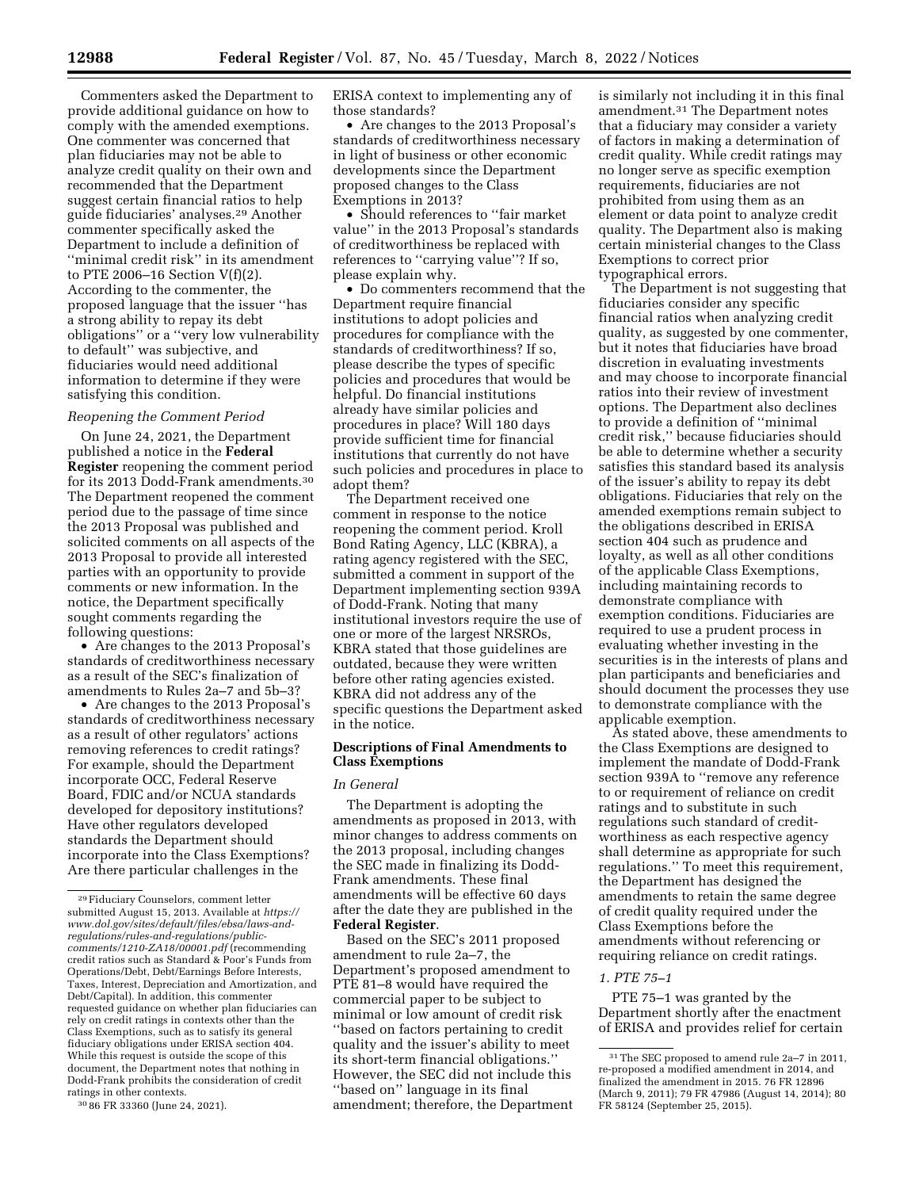Commenters asked the Department to provide additional guidance on how to comply with the amended exemptions. One commenter was concerned that plan fiduciaries may not be able to analyze credit quality on their own and recommended that the Department suggest certain financial ratios to help guide fiduciaries' analyses.29 Another commenter specifically asked the Department to include a definition of ''minimal credit risk'' in its amendment to PTE 2006–16 Section V(f)(2). According to the commenter, the proposed language that the issuer ''has a strong ability to repay its debt obligations'' or a ''very low vulnerability to default'' was subjective, and fiduciaries would need additional information to determine if they were satisfying this condition.

# *Reopening the Comment Period*

On June 24, 2021, the Department published a notice in the **Federal Register** reopening the comment period for its 2013 Dodd-Frank amendments.30 The Department reopened the comment period due to the passage of time since the 2013 Proposal was published and solicited comments on all aspects of the 2013 Proposal to provide all interested parties with an opportunity to provide comments or new information. In the notice, the Department specifically sought comments regarding the following questions:

• Are changes to the 2013 Proposal's standards of creditworthiness necessary as a result of the SEC's finalization of amendments to Rules 2a–7 and 5b–3?

• Are changes to the 2013 Proposal's standards of creditworthiness necessary as a result of other regulators' actions removing references to credit ratings? For example, should the Department incorporate OCC, Federal Reserve Board, FDIC and/or NCUA standards developed for depository institutions? Have other regulators developed standards the Department should incorporate into the Class Exemptions? Are there particular challenges in the

30 86 FR 33360 (June 24, 2021).

ERISA context to implementing any of those standards?

• Are changes to the 2013 Proposal's standards of creditworthiness necessary in light of business or other economic developments since the Department proposed changes to the Class Exemptions in 2013?

• Should references to ''fair market value'' in the 2013 Proposal's standards of creditworthiness be replaced with references to ''carrying value''? If so, please explain why.

• Do commenters recommend that the Department require financial institutions to adopt policies and procedures for compliance with the standards of creditworthiness? If so, please describe the types of specific policies and procedures that would be helpful. Do financial institutions already have similar policies and procedures in place? Will 180 days provide sufficient time for financial institutions that currently do not have such policies and procedures in place to adopt them?

The Department received one comment in response to the notice reopening the comment period. Kroll Bond Rating Agency, LLC (KBRA), a rating agency registered with the SEC, submitted a comment in support of the Department implementing section 939A of Dodd-Frank. Noting that many institutional investors require the use of one or more of the largest NRSROs, KBRA stated that those guidelines are outdated, because they were written before other rating agencies existed. KBRA did not address any of the specific questions the Department asked in the notice.

### **Descriptions of Final Amendments to Class Exemptions**

### *In General*

The Department is adopting the amendments as proposed in 2013, with minor changes to address comments on the 2013 proposal, including changes the SEC made in finalizing its Dodd-Frank amendments. These final amendments will be effective 60 days after the date they are published in the **Federal Register**.

Based on the SEC's 2011 proposed amendment to rule 2a–7, the Department's proposed amendment to PTE 81–8 would have required the commercial paper to be subject to minimal or low amount of credit risk ''based on factors pertaining to credit quality and the issuer's ability to meet its short-term financial obligations.'' However, the SEC did not include this ''based on'' language in its final amendment; therefore, the Department is similarly not including it in this final amendment.31 The Department notes that a fiduciary may consider a variety of factors in making a determination of credit quality. While credit ratings may no longer serve as specific exemption requirements, fiduciaries are not prohibited from using them as an element or data point to analyze credit quality. The Department also is making certain ministerial changes to the Class Exemptions to correct prior typographical errors.

The Department is not suggesting that fiduciaries consider any specific financial ratios when analyzing credit quality, as suggested by one commenter, but it notes that fiduciaries have broad discretion in evaluating investments and may choose to incorporate financial ratios into their review of investment options. The Department also declines to provide a definition of ''minimal credit risk,'' because fiduciaries should be able to determine whether a security satisfies this standard based its analysis of the issuer's ability to repay its debt obligations. Fiduciaries that rely on the amended exemptions remain subject to the obligations described in ERISA section 404 such as prudence and loyalty, as well as all other conditions of the applicable Class Exemptions, including maintaining records to demonstrate compliance with exemption conditions. Fiduciaries are required to use a prudent process in evaluating whether investing in the securities is in the interests of plans and plan participants and beneficiaries and should document the processes they use to demonstrate compliance with the applicable exemption.

As stated above, these amendments to the Class Exemptions are designed to implement the mandate of Dodd-Frank section 939A to ''remove any reference to or requirement of reliance on credit ratings and to substitute in such regulations such standard of creditworthiness as each respective agency shall determine as appropriate for such regulations.'' To meet this requirement, the Department has designed the amendments to retain the same degree of credit quality required under the Class Exemptions before the amendments without referencing or requiring reliance on credit ratings.

### *1. PTE 75–1*

PTE 75–1 was granted by the Department shortly after the enactment of ERISA and provides relief for certain

<sup>29</sup>Fiduciary Counselors, comment letter submitted August 15, 2013. Available at *[https://](https://www.dol.gov/sites/default/files/ebsa/laws-and-regulations/rules-and-regulations/public-comments/1210-ZA18/00001.pdf) [www.dol.gov/sites/default/files/ebsa/laws-and](https://www.dol.gov/sites/default/files/ebsa/laws-and-regulations/rules-and-regulations/public-comments/1210-ZA18/00001.pdf)[regulations/rules-and-regulations/public](https://www.dol.gov/sites/default/files/ebsa/laws-and-regulations/rules-and-regulations/public-comments/1210-ZA18/00001.pdf)[comments/1210-ZA18/00001.pdf](https://www.dol.gov/sites/default/files/ebsa/laws-and-regulations/rules-and-regulations/public-comments/1210-ZA18/00001.pdf)* (recommending credit ratios such as Standard & Poor's Funds from Operations/Debt, Debt/Earnings Before Interests, Taxes, Interest, Depreciation and Amortization, and Debt/Capital). In addition, this commenter requested guidance on whether plan fiduciaries can rely on credit ratings in contexts other than the Class Exemptions, such as to satisfy its general fiduciary obligations under ERISA section 404. While this request is outside the scope of this document, the Department notes that nothing in Dodd-Frank prohibits the consideration of credit ratings in other contexts.

<sup>31</sup>The SEC proposed to amend rule 2a–7 in 2011, re-proposed a modified amendment in 2014, and finalized the amendment in 2015. 76 FR 12896 (March 9, 2011); 79 FR 47986 (August 14, 2014); 80 FR 58124 (September 25, 2015).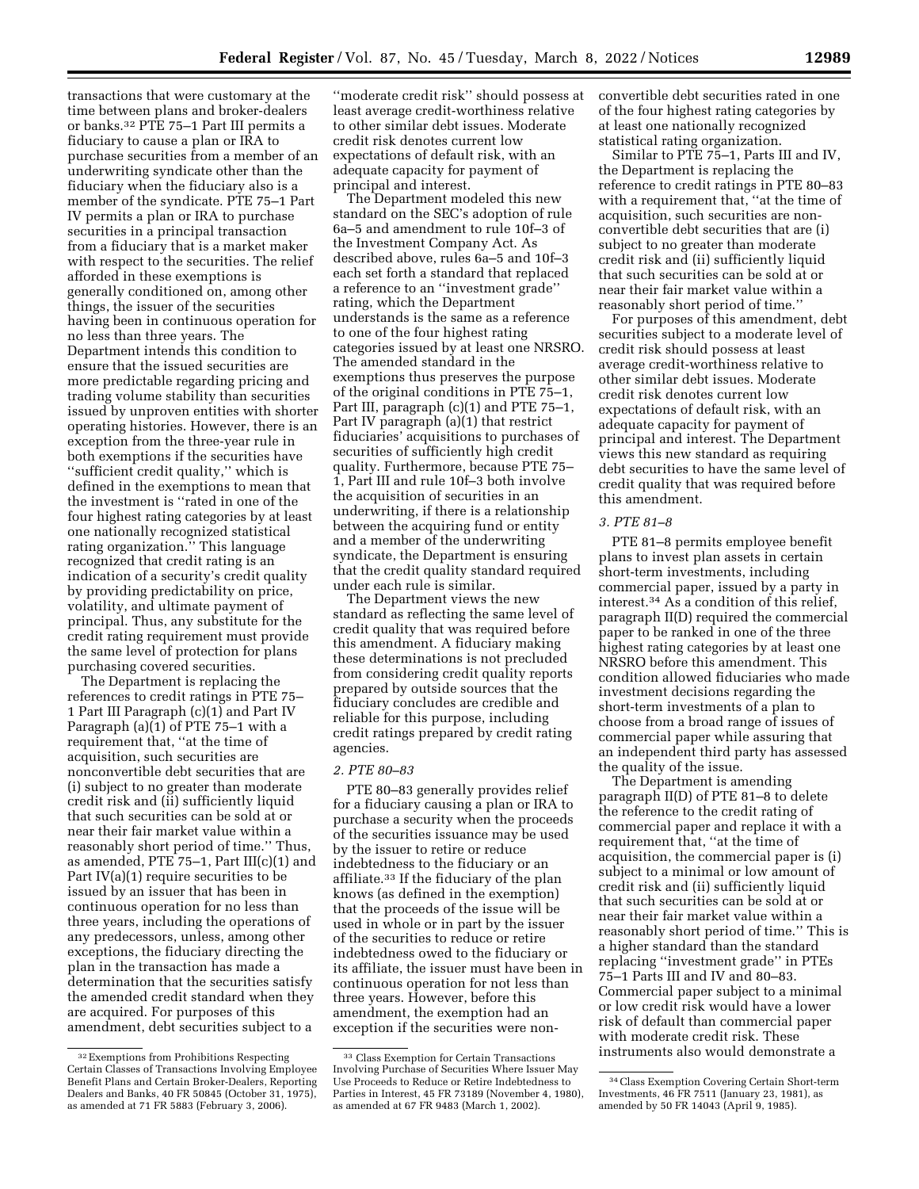transactions that were customary at the time between plans and broker-dealers or banks.32 PTE 75–1 Part III permits a fiduciary to cause a plan or IRA to purchase securities from a member of an underwriting syndicate other than the fiduciary when the fiduciary also is a member of the syndicate. PTE 75–1 Part IV permits a plan or IRA to purchase securities in a principal transaction from a fiduciary that is a market maker with respect to the securities. The relief afforded in these exemptions is generally conditioned on, among other things, the issuer of the securities having been in continuous operation for no less than three years. The Department intends this condition to ensure that the issued securities are more predictable regarding pricing and trading volume stability than securities issued by unproven entities with shorter operating histories. However, there is an exception from the three-year rule in both exemptions if the securities have ''sufficient credit quality,'' which is defined in the exemptions to mean that the investment is ''rated in one of the four highest rating categories by at least one nationally recognized statistical rating organization.'' This language recognized that credit rating is an indication of a security's credit quality by providing predictability on price, volatility, and ultimate payment of principal. Thus, any substitute for the credit rating requirement must provide the same level of protection for plans purchasing covered securities.

The Department is replacing the references to credit ratings in PTE 75– 1 Part III Paragraph (c)(1) and Part IV Paragraph (a)(1) of PTE 75–1 with a requirement that, ''at the time of acquisition, such securities are nonconvertible debt securities that are (i) subject to no greater than moderate credit risk and (ii) sufficiently liquid that such securities can be sold at or near their fair market value within a reasonably short period of time.'' Thus, as amended, PTE 75–1, Part III(c)(1) and Part IV(a)(1) require securities to be issued by an issuer that has been in continuous operation for no less than three years, including the operations of any predecessors, unless, among other exceptions, the fiduciary directing the plan in the transaction has made a determination that the securities satisfy the amended credit standard when they are acquired. For purposes of this amendment, debt securities subject to a

''moderate credit risk'' should possess at least average credit-worthiness relative to other similar debt issues. Moderate credit risk denotes current low expectations of default risk, with an adequate capacity for payment of principal and interest.

The Department modeled this new standard on the SEC's adoption of rule 6a–5 and amendment to rule 10f–3 of the Investment Company Act. As described above, rules 6a–5 and 10f–3 each set forth a standard that replaced a reference to an ''investment grade'' rating, which the Department understands is the same as a reference to one of the four highest rating categories issued by at least one NRSRO. The amended standard in the exemptions thus preserves the purpose of the original conditions in PTE 75–1, Part III, paragraph (c)(1) and PTE 75–1, Part IV paragraph (a)(1) that restrict fiduciaries' acquisitions to purchases of securities of sufficiently high credit quality. Furthermore, because PTE 75– 1, Part III and rule 10f–3 both involve the acquisition of securities in an underwriting, if there is a relationship between the acquiring fund or entity and a member of the underwriting syndicate, the Department is ensuring that the credit quality standard required under each rule is similar.

The Department views the new standard as reflecting the same level of credit quality that was required before this amendment. A fiduciary making these determinations is not precluded from considering credit quality reports prepared by outside sources that the fiduciary concludes are credible and reliable for this purpose, including credit ratings prepared by credit rating agencies.

### *2. PTE 80–83*

PTE 80–83 generally provides relief for a fiduciary causing a plan or IRA to purchase a security when the proceeds of the securities issuance may be used by the issuer to retire or reduce indebtedness to the fiduciary or an affiliate.33 If the fiduciary of the plan knows (as defined in the exemption) that the proceeds of the issue will be used in whole or in part by the issuer of the securities to reduce or retire indebtedness owed to the fiduciary or its affiliate, the issuer must have been in continuous operation for not less than three years. However, before this amendment, the exemption had an exception if the securities were nonconvertible debt securities rated in one of the four highest rating categories by at least one nationally recognized statistical rating organization.

Similar to PTE 75–1, Parts III and IV, the Department is replacing the reference to credit ratings in PTE 80–83 with a requirement that, "at the time of acquisition, such securities are nonconvertible debt securities that are (i) subject to no greater than moderate credit risk and (ii) sufficiently liquid that such securities can be sold at or near their fair market value within a reasonably short period of time.''

For purposes of this amendment, debt securities subject to a moderate level of credit risk should possess at least average credit-worthiness relative to other similar debt issues. Moderate credit risk denotes current low expectations of default risk, with an adequate capacity for payment of principal and interest. The Department views this new standard as requiring debt securities to have the same level of credit quality that was required before this amendment.

### *3. PTE 81–8*

PTE 81–8 permits employee benefit plans to invest plan assets in certain short-term investments, including commercial paper, issued by a party in interest.34 As a condition of this relief, paragraph II(D) required the commercial paper to be ranked in one of the three highest rating categories by at least one NRSRO before this amendment. This condition allowed fiduciaries who made investment decisions regarding the short-term investments of a plan to choose from a broad range of issues of commercial paper while assuring that an independent third party has assessed the quality of the issue.

The Department is amending paragraph II(D) of PTE 81–8 to delete the reference to the credit rating of commercial paper and replace it with a requirement that, ''at the time of acquisition, the commercial paper is (i) subject to a minimal or low amount of credit risk and (ii) sufficiently liquid that such securities can be sold at or near their fair market value within a reasonably short period of time.'' This is a higher standard than the standard replacing ''investment grade'' in PTEs 75–1 Parts III and IV and 80–83. Commercial paper subject to a minimal or low credit risk would have a lower risk of default than commercial paper with moderate credit risk. These instruments also would demonstrate a

<sup>32</sup>Exemptions from Prohibitions Respecting Certain Classes of Transactions Involving Employee Benefit Plans and Certain Broker-Dealers, Reporting Dealers and Banks, 40 FR 50845 (October 31, 1975), as amended at 71 FR 5883 (February 3, 2006).

<sup>33</sup> Class Exemption for Certain Transactions Involving Purchase of Securities Where Issuer May Use Proceeds to Reduce or Retire Indebtedness to Parties in Interest, 45 FR 73189 (November 4, 1980), as amended at 67 FR 9483 (March 1, 2002).

<sup>34</sup>Class Exemption Covering Certain Short-term Investments, 46 FR 7511 (January 23, 1981), as amended by 50 FR 14043 (April 9, 1985).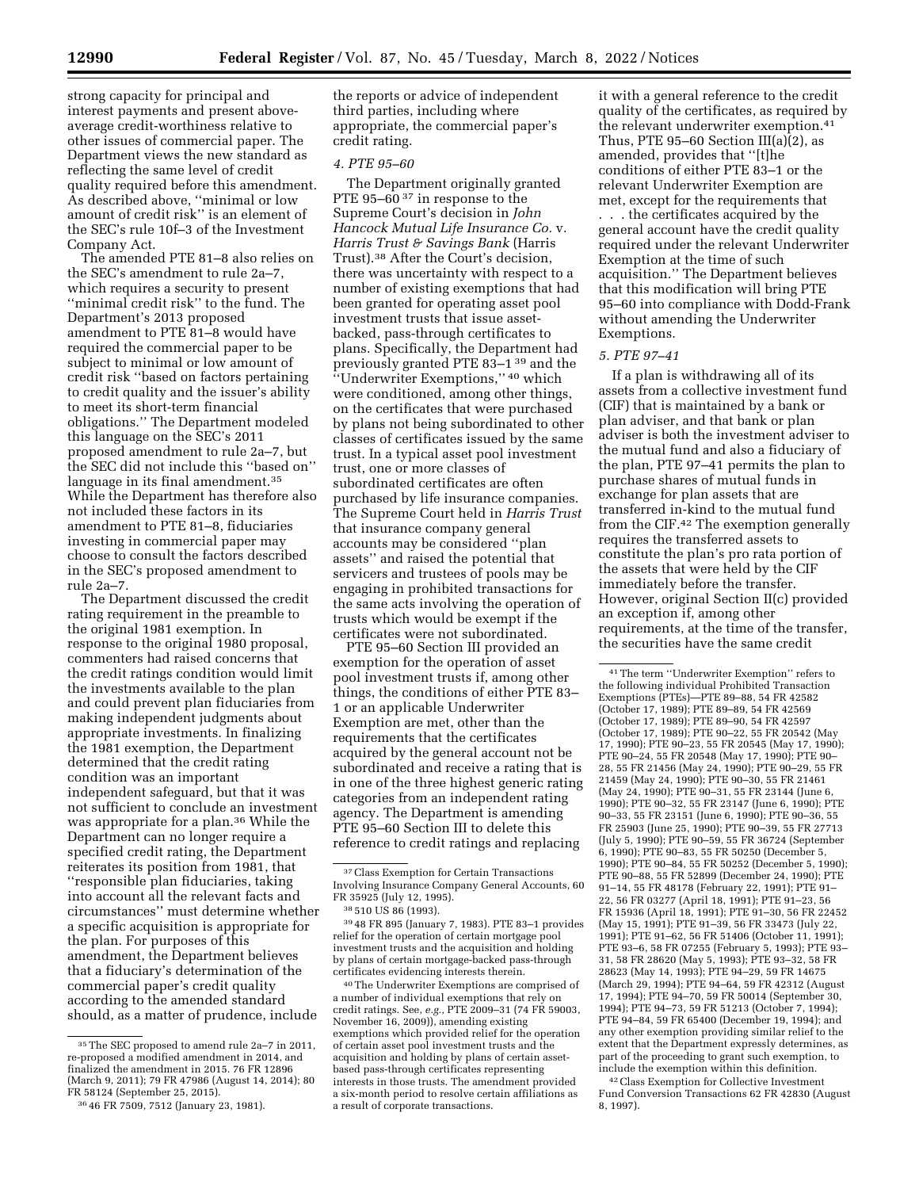strong capacity for principal and interest payments and present aboveaverage credit-worthiness relative to other issues of commercial paper. The Department views the new standard as reflecting the same level of credit quality required before this amendment. As described above, ''minimal or low amount of credit risk'' is an element of the SEC's rule 10f–3 of the Investment Company Act.

The amended PTE 81–8 also relies on the SEC's amendment to rule 2a–7, which requires a security to present ''minimal credit risk'' to the fund. The Department's 2013 proposed amendment to PTE 81–8 would have required the commercial paper to be subject to minimal or low amount of credit risk ''based on factors pertaining to credit quality and the issuer's ability to meet its short-term financial obligations.'' The Department modeled this language on the SEC's 2011 proposed amendment to rule 2a–7, but the SEC did not include this ''based on'' language in its final amendment.35 While the Department has therefore also not included these factors in its amendment to PTE 81–8, fiduciaries investing in commercial paper may choose to consult the factors described in the SEC's proposed amendment to rule 2a–7.

The Department discussed the credit rating requirement in the preamble to the original 1981 exemption. In response to the original 1980 proposal, commenters had raised concerns that the credit ratings condition would limit the investments available to the plan and could prevent plan fiduciaries from making independent judgments about appropriate investments. In finalizing the 1981 exemption, the Department determined that the credit rating condition was an important independent safeguard, but that it was not sufficient to conclude an investment was appropriate for a plan.36 While the Department can no longer require a specified credit rating, the Department reiterates its position from 1981, that ''responsible plan fiduciaries, taking into account all the relevant facts and circumstances'' must determine whether a specific acquisition is appropriate for the plan. For purposes of this amendment, the Department believes that a fiduciary's determination of the commercial paper's credit quality according to the amended standard should, as a matter of prudence, include

the reports or advice of independent third parties, including where appropriate, the commercial paper's credit rating.

### *4. PTE 95–60*

The Department originally granted PTE 95–60<sup>37</sup> in response to the Supreme Court's decision in *John Hancock Mutual Life Insurance Co.* v. *Harris Trust & Savings Bank* (Harris Trust).38 After the Court's decision, there was uncertainty with respect to a number of existing exemptions that had been granted for operating asset pool investment trusts that issue assetbacked, pass-through certificates to plans. Specifically, the Department had previously granted PTE 83–1 39 and the ''Underwriter Exemptions,'' 40 which were conditioned, among other things, on the certificates that were purchased by plans not being subordinated to other classes of certificates issued by the same trust. In a typical asset pool investment trust, one or more classes of subordinated certificates are often purchased by life insurance companies. The Supreme Court held in *Harris Trust*  that insurance company general accounts may be considered ''plan assets'' and raised the potential that servicers and trustees of pools may be engaging in prohibited transactions for the same acts involving the operation of trusts which would be exempt if the certificates were not subordinated.

PTE 95–60 Section III provided an exemption for the operation of asset pool investment trusts if, among other things, the conditions of either PTE 83– 1 or an applicable Underwriter Exemption are met, other than the requirements that the certificates acquired by the general account not be subordinated and receive a rating that is in one of the three highest generic rating categories from an independent rating agency. The Department is amending PTE 95–60 Section III to delete this reference to credit ratings and replacing

39 48 FR 895 (January 7, 1983). PTE 83–1 provides relief for the operation of certain mortgage pool investment trusts and the acquisition and holding by plans of certain mortgage-backed pass-through certificates evidencing interests therein.

40The Underwriter Exemptions are comprised of a number of individual exemptions that rely on credit ratings. See, *e.g.,* PTE 2009–31 (74 FR 59003, November 16, 2009)), amending existing exemptions which provided relief for the operation of certain asset pool investment trusts and the acquisition and holding by plans of certain assetbased pass-through certificates representing interests in those trusts. The amendment provided a six-month period to resolve certain affiliations as a result of corporate transactions.

it with a general reference to the credit quality of the certificates, as required by the relevant underwriter exemption.41 Thus, PTE 95–60 Section  $III(a)(2)$ , as amended, provides that ''[t]he conditions of either PTE 83–1 or the relevant Underwriter Exemption are met, except for the requirements that . . . the certificates acquired by the general account have the credit quality required under the relevant Underwriter Exemption at the time of such acquisition.'' The Department believes that this modification will bring PTE 95–60 into compliance with Dodd-Frank without amending the Underwriter Exemptions.

### *5. PTE 97–41*

If a plan is withdrawing all of its assets from a collective investment fund (CIF) that is maintained by a bank or plan adviser, and that bank or plan adviser is both the investment adviser to the mutual fund and also a fiduciary of the plan, PTE 97–41 permits the plan to purchase shares of mutual funds in exchange for plan assets that are transferred in-kind to the mutual fund from the CIF.42 The exemption generally requires the transferred assets to constitute the plan's pro rata portion of the assets that were held by the CIF immediately before the transfer. However, original Section II(c) provided an exception if, among other requirements, at the time of the transfer, the securities have the same credit

41The term ''Underwriter Exemption'' refers to the following individual Prohibited Transaction Exemptions (PTEs)—PTE 89–88, 54 FR 42582 (October 17, 1989); PTE 89–89, 54 FR 42569 (October 17, 1989); PTE 89–90, 54 FR 42597 (October 17, 1989); PTE 90–22, 55 FR 20542 (May 17, 1990); PTE 90–23, 55 FR 20545 (May 17, 1990); PTE 90–24, 55 FR 20548 (May 17, 1990); PTE 90– 28, 55 FR 21456 (May 24, 1990); PTE 90–29, 55 FR 21459 (May 24, 1990); PTE 90–30, 55 FR 21461 (May 24, 1990); PTE 90–31, 55 FR 23144 (June 6, 1990); PTE 90–32, 55 FR 23147 (June 6, 1990); PTE 90–33, 55 FR 23151 (June 6, 1990); PTE 90–36, 55 FR 25903 (June 25, 1990); PTE 90–39, 55 FR 27713 (July 5, 1990); PTE 90–59, 55 FR 36724 (September 6, 1990); PTE 90–83, 55 FR 50250 (December 5, 1990); PTE 90–84, 55 FR 50252 (December 5, 1990); PTE 90–88, 55 FR 52899 (December 24, 1990); PTE 91–14, 55 FR 48178 (February 22, 1991); PTE 91– 22, 56 FR 03277 (April 18, 1991); PTE 91–23, 56 FR 15936 (April 18, 1991); PTE 91–30, 56 FR 22452 (May 15, 1991); PTE 91–39, 56 FR 33473 (July 22, 1991); PTE 91–62, 56 FR 51406 (October 11, 1991); PTE 93–6, 58 FR 07255 (February 5, 1993); PTE 93– 31, 58 FR 28620 (May 5, 1993); PTE 93–32, 58 FR 28623 (May 14, 1993); PTE 94–29, 59 FR 14675 (March 29, 1994); PTE 94–64, 59 FR 42312 (August 17, 1994); PTE 94–70, 59 FR 50014 (September 30, 1994); PTE 94–73, 59 FR 51213 (October 7, 1994); PTE 94–84, 59 FR 65400 (December 19, 1994); and any other exemption providing similar relief to the extent that the Department expressly determines, as part of the proceeding to grant such exemption, to include the exemption within this definition.

42Class Exemption for Collective Investment Fund Conversion Transactions 62 FR 42830 (August 8, 1997).

<sup>35</sup>The SEC proposed to amend rule 2a–7 in 2011, re-proposed a modified amendment in 2014, and finalized the amendment in 2015. 76 FR 12896 (March 9, 2011); 79 FR 47986 (August 14, 2014); 80 FR 58124 (September 25, 2015).

<sup>36</sup> 46 FR 7509, 7512 (January 23, 1981).

<sup>37</sup>Class Exemption for Certain Transactions Involving Insurance Company General Accounts, 60 FR 35925 (July 12, 1995).

<sup>38</sup> 510 US 86 (1993).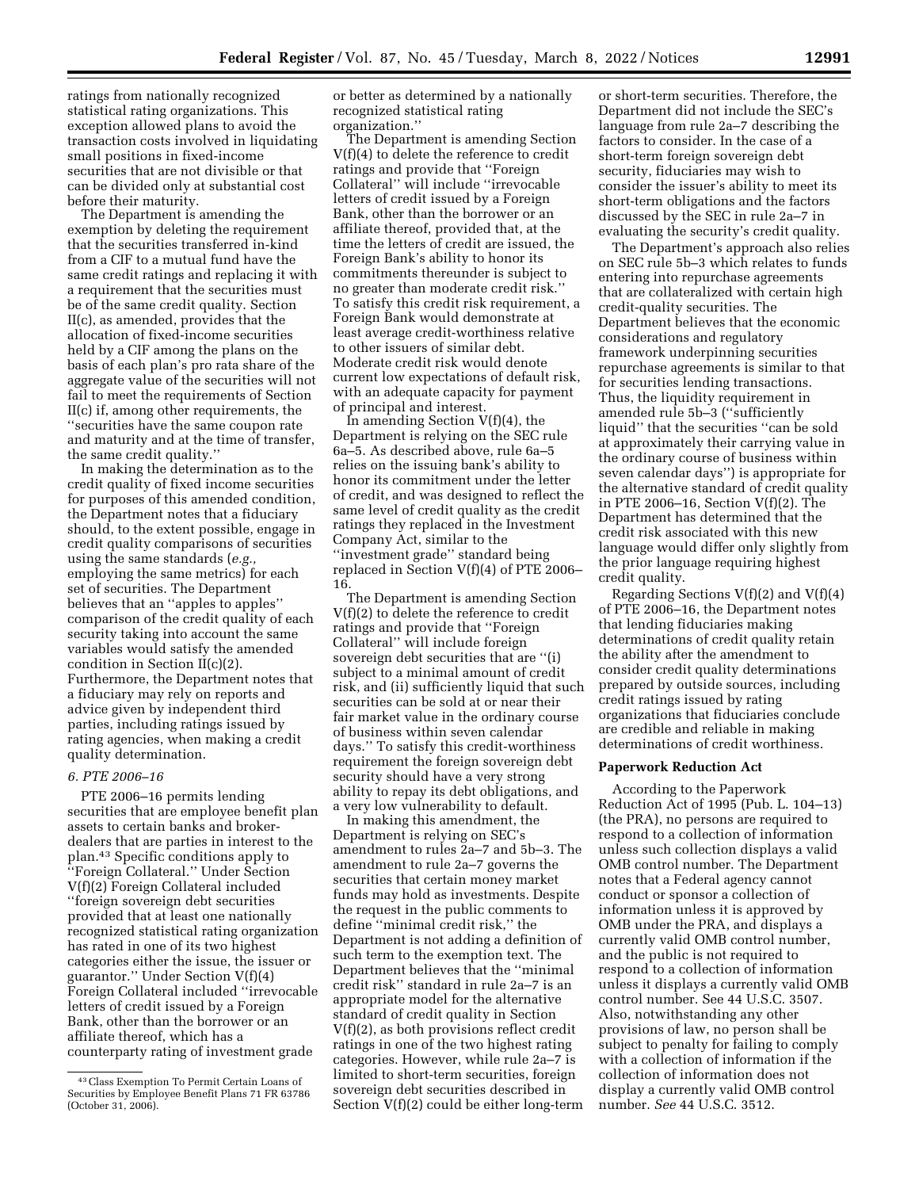ratings from nationally recognized statistical rating organizations. This exception allowed plans to avoid the transaction costs involved in liquidating small positions in fixed-income securities that are not divisible or that can be divided only at substantial cost before their maturity.

The Department is amending the exemption by deleting the requirement that the securities transferred in-kind from a CIF to a mutual fund have the same credit ratings and replacing it with a requirement that the securities must be of the same credit quality. Section II(c), as amended, provides that the allocation of fixed-income securities held by a CIF among the plans on the basis of each plan's pro rata share of the aggregate value of the securities will not fail to meet the requirements of Section II(c) if, among other requirements, the ''securities have the same coupon rate and maturity and at the time of transfer, the same credit quality.''

In making the determination as to the credit quality of fixed income securities for purposes of this amended condition, the Department notes that a fiduciary should, to the extent possible, engage in credit quality comparisons of securities using the same standards (*e.g.,*  employing the same metrics) for each set of securities. The Department believes that an ''apples to apples'' comparison of the credit quality of each security taking into account the same variables would satisfy the amended condition in Section II(c)(2). Furthermore, the Department notes that a fiduciary may rely on reports and advice given by independent third parties, including ratings issued by rating agencies, when making a credit quality determination.

### *6. PTE 2006–16*

PTE 2006–16 permits lending securities that are employee benefit plan assets to certain banks and brokerdealers that are parties in interest to the plan.43 Specific conditions apply to ''Foreign Collateral.'' Under Section V(f)(2) Foreign Collateral included ''foreign sovereign debt securities provided that at least one nationally recognized statistical rating organization has rated in one of its two highest categories either the issue, the issuer or guarantor.'' Under Section V(f)(4) Foreign Collateral included ''irrevocable letters of credit issued by a Foreign Bank, other than the borrower or an affiliate thereof, which has a counterparty rating of investment grade

or better as determined by a nationally recognized statistical rating organization.''

The Department is amending Section V(f)(4) to delete the reference to credit ratings and provide that ''Foreign Collateral'' will include ''irrevocable letters of credit issued by a Foreign Bank, other than the borrower or an affiliate thereof, provided that, at the time the letters of credit are issued, the Foreign Bank's ability to honor its commitments thereunder is subject to no greater than moderate credit risk.'' To satisfy this credit risk requirement, a Foreign Bank would demonstrate at least average credit-worthiness relative to other issuers of similar debt. Moderate credit risk would denote current low expectations of default risk, with an adequate capacity for payment of principal and interest.

In amending Section V(f)(4), the Department is relying on the SEC rule 6a–5. As described above, rule 6a–5 relies on the issuing bank's ability to honor its commitment under the letter of credit, and was designed to reflect the same level of credit quality as the credit ratings they replaced in the Investment Company Act, similar to the ''investment grade'' standard being replaced in Section V(f)(4) of PTE 2006– 16.

The Department is amending Section V(f)(2) to delete the reference to credit ratings and provide that ''Foreign Collateral'' will include foreign sovereign debt securities that are ''(i) subject to a minimal amount of credit risk, and (ii) sufficiently liquid that such securities can be sold at or near their fair market value in the ordinary course of business within seven calendar days.'' To satisfy this credit-worthiness requirement the foreign sovereign debt security should have a very strong ability to repay its debt obligations, and a very low vulnerability to default.

In making this amendment, the Department is relying on SEC's amendment to rules 2a–7 and 5b–3. The amendment to rule 2a–7 governs the securities that certain money market funds may hold as investments. Despite the request in the public comments to define ''minimal credit risk,'' the Department is not adding a definition of such term to the exemption text. The Department believes that the ''minimal credit risk'' standard in rule 2a–7 is an appropriate model for the alternative standard of credit quality in Section V(f)(2), as both provisions reflect credit ratings in one of the two highest rating categories. However, while rule 2a–7 is limited to short-term securities, foreign sovereign debt securities described in Section V(f)(2) could be either long-term

or short-term securities. Therefore, the Department did not include the SEC's language from rule 2a–7 describing the factors to consider. In the case of a short-term foreign sovereign debt security, fiduciaries may wish to consider the issuer's ability to meet its short-term obligations and the factors discussed by the SEC in rule 2a–7 in evaluating the security's credit quality.

The Department's approach also relies on SEC rule 5b–3 which relates to funds entering into repurchase agreements that are collateralized with certain high credit-quality securities. The Department believes that the economic considerations and regulatory framework underpinning securities repurchase agreements is similar to that for securities lending transactions. Thus, the liquidity requirement in amended rule 5b–3 (''sufficiently liquid'' that the securities ''can be sold at approximately their carrying value in the ordinary course of business within seven calendar days'') is appropriate for the alternative standard of credit quality in PTE 2006–16, Section V(f)(2). The Department has determined that the credit risk associated with this new language would differ only slightly from the prior language requiring highest credit quality.

Regarding Sections  $V(f)(2)$  and  $V(f)(4)$ of PTE 2006–16, the Department notes that lending fiduciaries making determinations of credit quality retain the ability after the amendment to consider credit quality determinations prepared by outside sources, including credit ratings issued by rating organizations that fiduciaries conclude are credible and reliable in making determinations of credit worthiness.

### **Paperwork Reduction Act**

According to the Paperwork Reduction Act of 1995 (Pub. L. 104–13) (the PRA), no persons are required to respond to a collection of information unless such collection displays a valid OMB control number. The Department notes that a Federal agency cannot conduct or sponsor a collection of information unless it is approved by OMB under the PRA, and displays a currently valid OMB control number, and the public is not required to respond to a collection of information unless it displays a currently valid OMB control number. See 44 U.S.C. 3507. Also, notwithstanding any other provisions of law, no person shall be subject to penalty for failing to comply with a collection of information if the collection of information does not display a currently valid OMB control number. *See* 44 U.S.C. 3512.

<sup>43</sup>Class Exemption To Permit Certain Loans of Securities by Employee Benefit Plans 71 FR 63786 (October 31, 2006).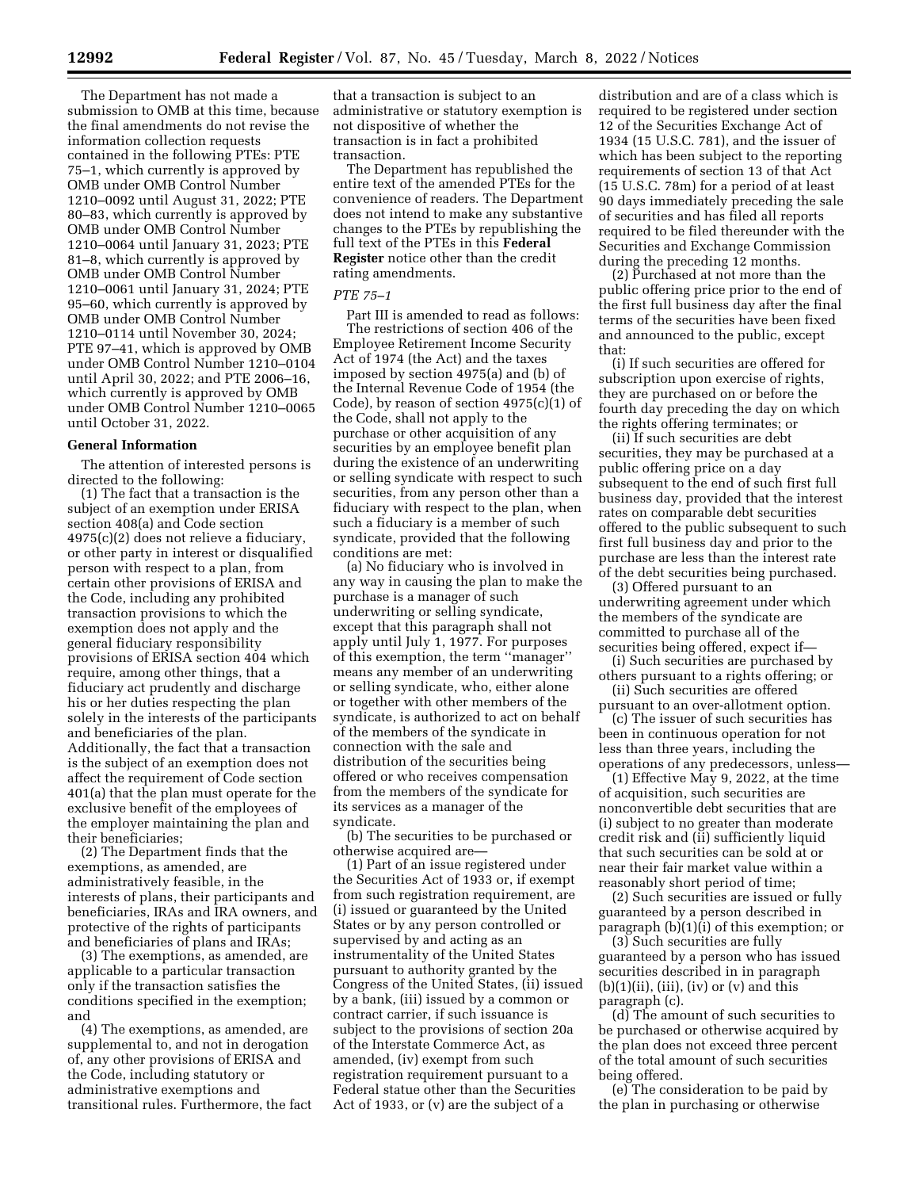The Department has not made a submission to OMB at this time, because the final amendments do not revise the information collection requests contained in the following PTEs: PTE 75–1, which currently is approved by OMB under OMB Control Number 1210–0092 until August 31, 2022; PTE 80–83, which currently is approved by OMB under OMB Control Number 1210–0064 until January 31, 2023; PTE 81–8, which currently is approved by OMB under OMB Control Number 1210–0061 until January 31, 2024; PTE 95–60, which currently is approved by OMB under OMB Control Number 1210–0114 until November 30, 2024; PTE 97–41, which is approved by OMB under OMB Control Number 1210–0104 until April 30, 2022; and PTE 2006–16, which currently is approved by OMB under OMB Control Number 1210–0065 until October 31, 2022.

# **General Information**

The attention of interested persons is directed to the following:

(1) The fact that a transaction is the subject of an exemption under ERISA section 408(a) and Code section 4975(c)(2) does not relieve a fiduciary, or other party in interest or disqualified person with respect to a plan, from certain other provisions of ERISA and the Code, including any prohibited transaction provisions to which the exemption does not apply and the general fiduciary responsibility provisions of ERISA section 404 which require, among other things, that a fiduciary act prudently and discharge his or her duties respecting the plan solely in the interests of the participants and beneficiaries of the plan. Additionally, the fact that a transaction is the subject of an exemption does not affect the requirement of Code section 401(a) that the plan must operate for the exclusive benefit of the employees of the employer maintaining the plan and their beneficiaries;

(2) The Department finds that the exemptions, as amended, are administratively feasible, in the interests of plans, their participants and beneficiaries, IRAs and IRA owners, and protective of the rights of participants and beneficiaries of plans and IRAs;

(3) The exemptions, as amended, are applicable to a particular transaction only if the transaction satisfies the conditions specified in the exemption; and

(4) The exemptions, as amended, are supplemental to, and not in derogation of, any other provisions of ERISA and the Code, including statutory or administrative exemptions and transitional rules. Furthermore, the fact

that a transaction is subject to an administrative or statutory exemption is not dispositive of whether the transaction is in fact a prohibited transaction.

The Department has republished the entire text of the amended PTEs for the convenience of readers. The Department does not intend to make any substantive changes to the PTEs by republishing the full text of the PTEs in this **Federal Register** notice other than the credit rating amendments.

# *PTE 75–1*

Part III is amended to read as follows: The restrictions of section 406 of the Employee Retirement Income Security Act of 1974 (the Act) and the taxes imposed by section 4975(a) and (b) of the Internal Revenue Code of 1954 (the Code), by reason of section 4975(c)(1) of the Code, shall not apply to the purchase or other acquisition of any securities by an employee benefit plan during the existence of an underwriting or selling syndicate with respect to such securities, from any person other than a fiduciary with respect to the plan, when such a fiduciary is a member of such syndicate, provided that the following conditions are met:

(a) No fiduciary who is involved in any way in causing the plan to make the purchase is a manager of such underwriting or selling syndicate, except that this paragraph shall not apply until July 1, 1977. For purposes of this exemption, the term ''manager'' means any member of an underwriting or selling syndicate, who, either alone or together with other members of the syndicate, is authorized to act on behalf of the members of the syndicate in connection with the sale and distribution of the securities being offered or who receives compensation from the members of the syndicate for its services as a manager of the syndicate.

(b) The securities to be purchased or otherwise acquired are—

(1) Part of an issue registered under the Securities Act of 1933 or, if exempt from such registration requirement, are (i) issued or guaranteed by the United States or by any person controlled or supervised by and acting as an instrumentality of the United States pursuant to authority granted by the Congress of the United States, (ii) issued by a bank, (iii) issued by a common or contract carrier, if such issuance is subject to the provisions of section 20a of the Interstate Commerce Act, as amended, (iv) exempt from such registration requirement pursuant to a Federal statue other than the Securities Act of 1933, or (v) are the subject of a

distribution and are of a class which is required to be registered under section 12 of the Securities Exchange Act of 1934 (15 U.S.C. 781), and the issuer of which has been subject to the reporting requirements of section 13 of that Act (15 U.S.C. 78m) for a period of at least 90 days immediately preceding the sale of securities and has filed all reports required to be filed thereunder with the Securities and Exchange Commission during the preceding 12 months.

(2) Purchased at not more than the public offering price prior to the end of the first full business day after the final terms of the securities have been fixed and announced to the public, except that:

(i) If such securities are offered for subscription upon exercise of rights, they are purchased on or before the fourth day preceding the day on which the rights offering terminates; or

(ii) If such securities are debt securities, they may be purchased at a public offering price on a day subsequent to the end of such first full business day, provided that the interest rates on comparable debt securities offered to the public subsequent to such first full business day and prior to the purchase are less than the interest rate of the debt securities being purchased.

(3) Offered pursuant to an underwriting agreement under which the members of the syndicate are committed to purchase all of the securities being offered, expect if—

(i) Such securities are purchased by others pursuant to a rights offering; or

(ii) Such securities are offered pursuant to an over-allotment option.

(c) The issuer of such securities has been in continuous operation for not less than three years, including the operations of any predecessors, unless—

(1) Effective May 9, 2022, at the time of acquisition, such securities are nonconvertible debt securities that are (i) subject to no greater than moderate credit risk and (ii) sufficiently liquid that such securities can be sold at or near their fair market value within a reasonably short period of time;

(2) Such securities are issued or fully guaranteed by a person described in paragraph (b)(1)(i) of this exemption; or

(3) Such securities are fully guaranteed by a person who has issued securities described in in paragraph  $(b)(1)(ii)$ ,  $(iii)$ ,  $(iv)$  or  $(v)$  and this paragraph (c).

(d) The amount of such securities to be purchased or otherwise acquired by the plan does not exceed three percent of the total amount of such securities being offered.

(e) The consideration to be paid by the plan in purchasing or otherwise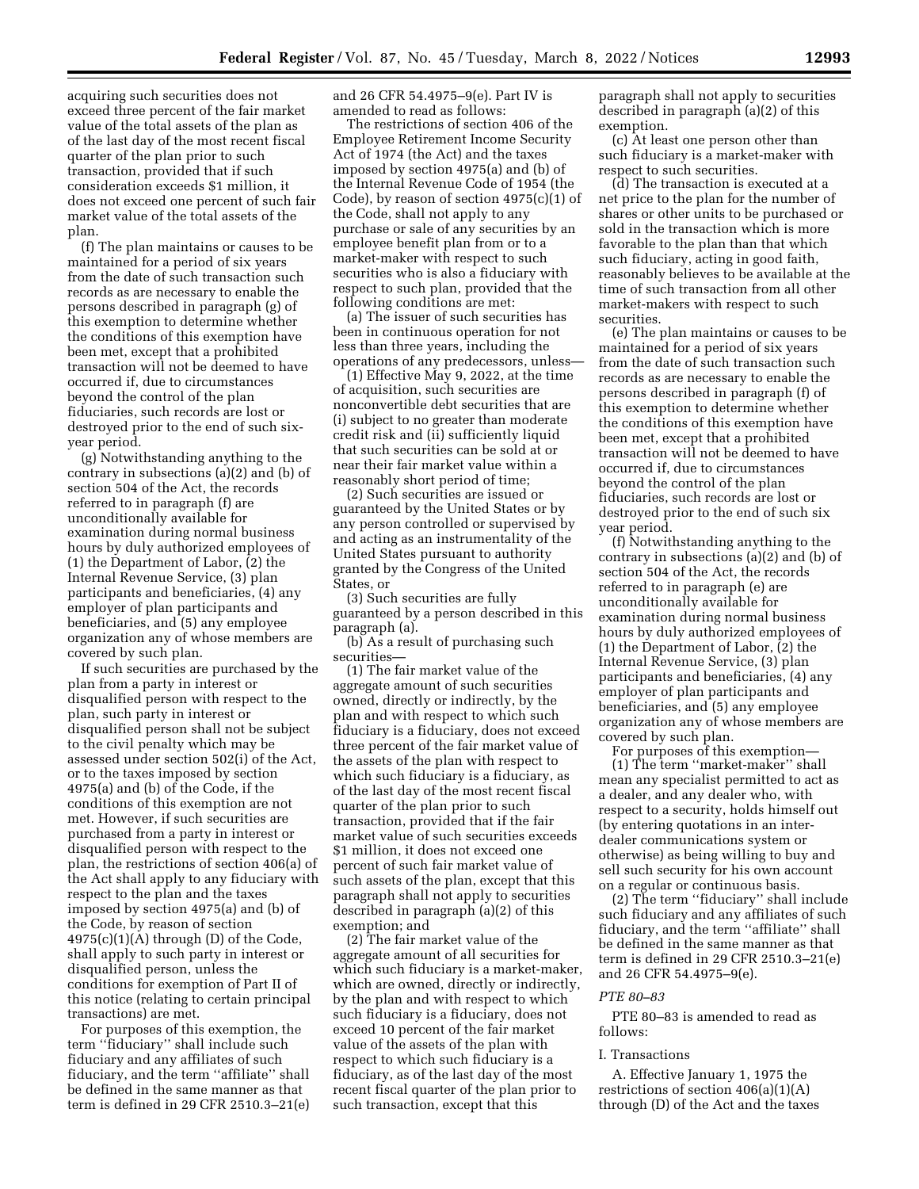acquiring such securities does not exceed three percent of the fair market value of the total assets of the plan as of the last day of the most recent fiscal quarter of the plan prior to such transaction, provided that if such consideration exceeds \$1 million, it does not exceed one percent of such fair market value of the total assets of the plan.

(f) The plan maintains or causes to be maintained for a period of six years from the date of such transaction such records as are necessary to enable the persons described in paragraph (g) of this exemption to determine whether the conditions of this exemption have been met, except that a prohibited transaction will not be deemed to have occurred if, due to circumstances beyond the control of the plan fiduciaries, such records are lost or destroyed prior to the end of such sixyear period.

(g) Notwithstanding anything to the contrary in subsections (a)(2) and (b) of section 504 of the Act, the records referred to in paragraph (f) are unconditionally available for examination during normal business hours by duly authorized employees of (1) the Department of Labor, (2) the Internal Revenue Service, (3) plan participants and beneficiaries, (4) any employer of plan participants and beneficiaries, and (5) any employee organization any of whose members are covered by such plan.

If such securities are purchased by the plan from a party in interest or disqualified person with respect to the plan, such party in interest or disqualified person shall not be subject to the civil penalty which may be assessed under section 502(i) of the Act, or to the taxes imposed by section 4975(a) and (b) of the Code, if the conditions of this exemption are not met. However, if such securities are purchased from a party in interest or disqualified person with respect to the plan, the restrictions of section 406(a) of the Act shall apply to any fiduciary with respect to the plan and the taxes imposed by section 4975(a) and (b) of the Code, by reason of section  $4975(c)(1)(A)$  through (D) of the Code, shall apply to such party in interest or disqualified person, unless the conditions for exemption of Part II of this notice (relating to certain principal transactions) are met.

For purposes of this exemption, the term ''fiduciary'' shall include such fiduciary and any affiliates of such fiduciary, and the term ''affiliate'' shall be defined in the same manner as that term is defined in 29 CFR 2510.3–21(e) and 26 CFR 54.4975–9(e). Part IV is amended to read as follows:

The restrictions of section 406 of the Employee Retirement Income Security Act of 1974 (the Act) and the taxes imposed by section 4975(a) and (b) of the Internal Revenue Code of 1954 (the Code), by reason of section 4975(c)(1) of the Code, shall not apply to any purchase or sale of any securities by an employee benefit plan from or to a market-maker with respect to such securities who is also a fiduciary with respect to such plan, provided that the following conditions are met:

(a) The issuer of such securities has been in continuous operation for not less than three years, including the operations of any predecessors, unless—

(1) Effective May 9, 2022, at the time of acquisition, such securities are nonconvertible debt securities that are (i) subject to no greater than moderate credit risk and (ii) sufficiently liquid that such securities can be sold at or near their fair market value within a reasonably short period of time;

(2) Such securities are issued or guaranteed by the United States or by any person controlled or supervised by and acting as an instrumentality of the United States pursuant to authority granted by the Congress of the United States, or

(3) Such securities are fully guaranteed by a person described in this paragraph (a).

(b) As a result of purchasing such securities—

(1) The fair market value of the aggregate amount of such securities owned, directly or indirectly, by the plan and with respect to which such fiduciary is a fiduciary, does not exceed three percent of the fair market value of the assets of the plan with respect to which such fiduciary is a fiduciary, as of the last day of the most recent fiscal quarter of the plan prior to such transaction, provided that if the fair market value of such securities exceeds \$1 million, it does not exceed one percent of such fair market value of such assets of the plan, except that this paragraph shall not apply to securities described in paragraph (a)(2) of this exemption; and

(2) The fair market value of the aggregate amount of all securities for which such fiduciary is a market-maker, which are owned, directly or indirectly, by the plan and with respect to which such fiduciary is a fiduciary, does not exceed 10 percent of the fair market value of the assets of the plan with respect to which such fiduciary is a fiduciary, as of the last day of the most recent fiscal quarter of the plan prior to such transaction, except that this

paragraph shall not apply to securities described in paragraph (a)(2) of this exemption.

(c) At least one person other than such fiduciary is a market-maker with respect to such securities.

(d) The transaction is executed at a net price to the plan for the number of shares or other units to be purchased or sold in the transaction which is more favorable to the plan than that which such fiduciary, acting in good faith, reasonably believes to be available at the time of such transaction from all other market-makers with respect to such securities.

(e) The plan maintains or causes to be maintained for a period of six years from the date of such transaction such records as are necessary to enable the persons described in paragraph (f) of this exemption to determine whether the conditions of this exemption have been met, except that a prohibited transaction will not be deemed to have occurred if, due to circumstances beyond the control of the plan fiduciaries, such records are lost or destroyed prior to the end of such six year period.

(f) Notwithstanding anything to the contrary in subsections (a)(2) and (b) of section 504 of the Act, the records referred to in paragraph (e) are unconditionally available for examination during normal business hours by duly authorized employees of (1) the Department of Labor, (2) the Internal Revenue Service, (3) plan participants and beneficiaries, (4) any employer of plan participants and beneficiaries, and (5) any employee organization any of whose members are covered by such plan.

For purposes of this exemption— (1) The term ''market-maker'' shall mean any specialist permitted to act as a dealer, and any dealer who, with respect to a security, holds himself out (by entering quotations in an interdealer communications system or otherwise) as being willing to buy and sell such security for his own account on a regular or continuous basis.

(2) The term ''fiduciary'' shall include such fiduciary and any affiliates of such fiduciary, and the term ''affiliate'' shall be defined in the same manner as that term is defined in 29 CFR 2510.3–21(e) and 26 CFR 54.4975–9(e).

### *PTE 80–83*

PTE 80–83 is amended to read as follows:

### I. Transactions

A. Effective January 1, 1975 the restrictions of section  $406(a)(1)(A)$ through (D) of the Act and the taxes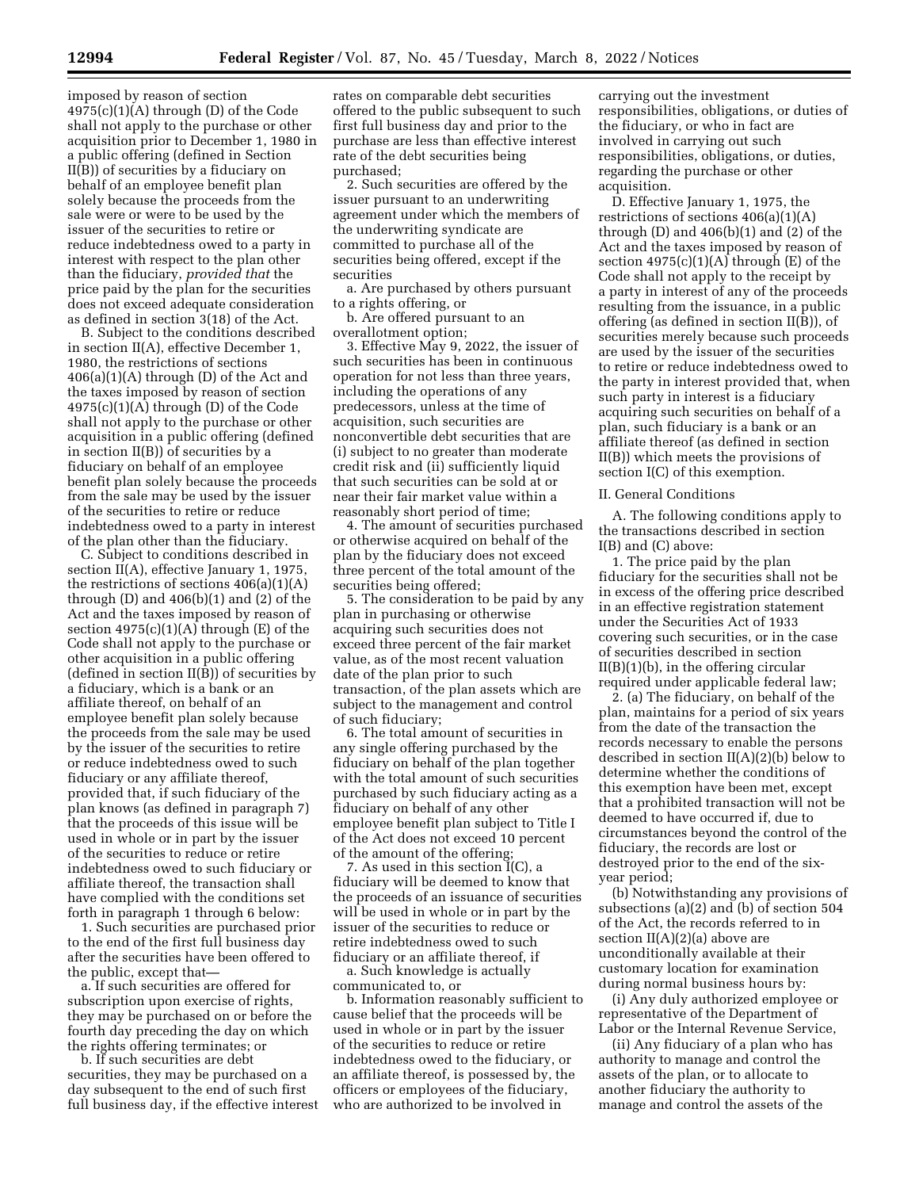imposed by reason of section  $4975(c)(1)(A)$  through (D) of the Code shall not apply to the purchase or other acquisition prior to December 1, 1980 in a public offering (defined in Section II(B)) of securities by a fiduciary on behalf of an employee benefit plan solely because the proceeds from the sale were or were to be used by the issuer of the securities to retire or reduce indebtedness owed to a party in interest with respect to the plan other than the fiduciary, *provided that* the price paid by the plan for the securities does not exceed adequate consideration as defined in section 3(18) of the Act.

B. Subject to the conditions described in section II(A), effective December 1, 1980, the restrictions of sections  $406(a)(1)(A)$  through (D) of the Act and the taxes imposed by reason of section  $4975(c)(1)(A)$  through (D) of the Code shall not apply to the purchase or other acquisition in a public offering (defined in section II(B)) of securities by a fiduciary on behalf of an employee benefit plan solely because the proceeds from the sale may be used by the issuer of the securities to retire or reduce indebtedness owed to a party in interest of the plan other than the fiduciary.

C. Subject to conditions described in section II(A), effective January 1, 1975, the restrictions of sections  $406(a)(1)(A)$ through  $(D)$  and  $406(b)(1)$  and  $(2)$  of the Act and the taxes imposed by reason of section  $4975(c)(1)(A)$  through  $(E)$  of the Code shall not apply to the purchase or other acquisition in a public offering (defined in section II(B)) of securities by a fiduciary, which is a bank or an affiliate thereof, on behalf of an employee benefit plan solely because the proceeds from the sale may be used by the issuer of the securities to retire or reduce indebtedness owed to such fiduciary or any affiliate thereof, provided that, if such fiduciary of the plan knows (as defined in paragraph 7) that the proceeds of this issue will be used in whole or in part by the issuer of the securities to reduce or retire indebtedness owed to such fiduciary or affiliate thereof, the transaction shall have complied with the conditions set forth in paragraph 1 through 6 below:

1. Such securities are purchased prior to the end of the first full business day after the securities have been offered to the public, except that—

a. If such securities are offered for subscription upon exercise of rights, they may be purchased on or before the fourth day preceding the day on which the rights offering terminates; or

b. If such securities are debt securities, they may be purchased on a day subsequent to the end of such first full business day, if the effective interest

rates on comparable debt securities offered to the public subsequent to such first full business day and prior to the purchase are less than effective interest rate of the debt securities being purchased;

2. Such securities are offered by the issuer pursuant to an underwriting agreement under which the members of the underwriting syndicate are committed to purchase all of the securities being offered, except if the securities

a. Are purchased by others pursuant to a rights offering, or

b. Are offered pursuant to an overallotment option;

3. Effective May 9, 2022, the issuer of such securities has been in continuous operation for not less than three years, including the operations of any predecessors, unless at the time of acquisition, such securities are nonconvertible debt securities that are (i) subject to no greater than moderate credit risk and (ii) sufficiently liquid that such securities can be sold at or near their fair market value within a reasonably short period of time;

4. The amount of securities purchased or otherwise acquired on behalf of the plan by the fiduciary does not exceed three percent of the total amount of the securities being offered;

5. The consideration to be paid by any plan in purchasing or otherwise acquiring such securities does not exceed three percent of the fair market value, as of the most recent valuation date of the plan prior to such transaction, of the plan assets which are subject to the management and control of such fiduciary;

6. The total amount of securities in any single offering purchased by the fiduciary on behalf of the plan together with the total amount of such securities purchased by such fiduciary acting as a fiduciary on behalf of any other employee benefit plan subject to Title I of the Act does not exceed 10 percent of the amount of the offering;

7. As used in this section I(C), a fiduciary will be deemed to know that the proceeds of an issuance of securities will be used in whole or in part by the issuer of the securities to reduce or retire indebtedness owed to such fiduciary or an affiliate thereof, if

a. Such knowledge is actually communicated to, or

b. Information reasonably sufficient to cause belief that the proceeds will be used in whole or in part by the issuer of the securities to reduce or retire indebtedness owed to the fiduciary, or an affiliate thereof, is possessed by, the officers or employees of the fiduciary, who are authorized to be involved in

carrying out the investment responsibilities, obligations, or duties of the fiduciary, or who in fact are involved in carrying out such responsibilities, obligations, or duties, regarding the purchase or other acquisition.

D. Effective January 1, 1975, the restrictions of sections  $406(a)(1)(A)$ through  $(D)$  and  $406(b)(1)$  and  $(2)$  of the Act and the taxes imposed by reason of section  $4975(c)(1)(A)$  through  $(E)$  of the Code shall not apply to the receipt by a party in interest of any of the proceeds resulting from the issuance, in a public offering (as defined in section II(B)), of securities merely because such proceeds are used by the issuer of the securities to retire or reduce indebtedness owed to the party in interest provided that, when such party in interest is a fiduciary acquiring such securities on behalf of a plan, such fiduciary is a bank or an affiliate thereof (as defined in section II(B)) which meets the provisions of section I(C) of this exemption.

### II. General Conditions

A. The following conditions apply to the transactions described in section I(B) and (C) above:

1. The price paid by the plan fiduciary for the securities shall not be in excess of the offering price described in an effective registration statement under the Securities Act of 1933 covering such securities, or in the case of securities described in section II(B)(1)(b), in the offering circular required under applicable federal law;

2. (a) The fiduciary, on behalf of the plan, maintains for a period of six years from the date of the transaction the records necessary to enable the persons described in section  $II(A)(2)(b)$  below to determine whether the conditions of this exemption have been met, except that a prohibited transaction will not be deemed to have occurred if, due to circumstances beyond the control of the fiduciary, the records are lost or destroyed prior to the end of the sixyear period;

(b) Notwithstanding any provisions of subsections (a)(2) and (b) of section 504 of the Act, the records referred to in section  $II(A)(2)(a)$  above are unconditionally available at their customary location for examination during normal business hours by:

(i) Any duly authorized employee or representative of the Department of Labor or the Internal Revenue Service,

(ii) Any fiduciary of a plan who has authority to manage and control the assets of the plan, or to allocate to another fiduciary the authority to manage and control the assets of the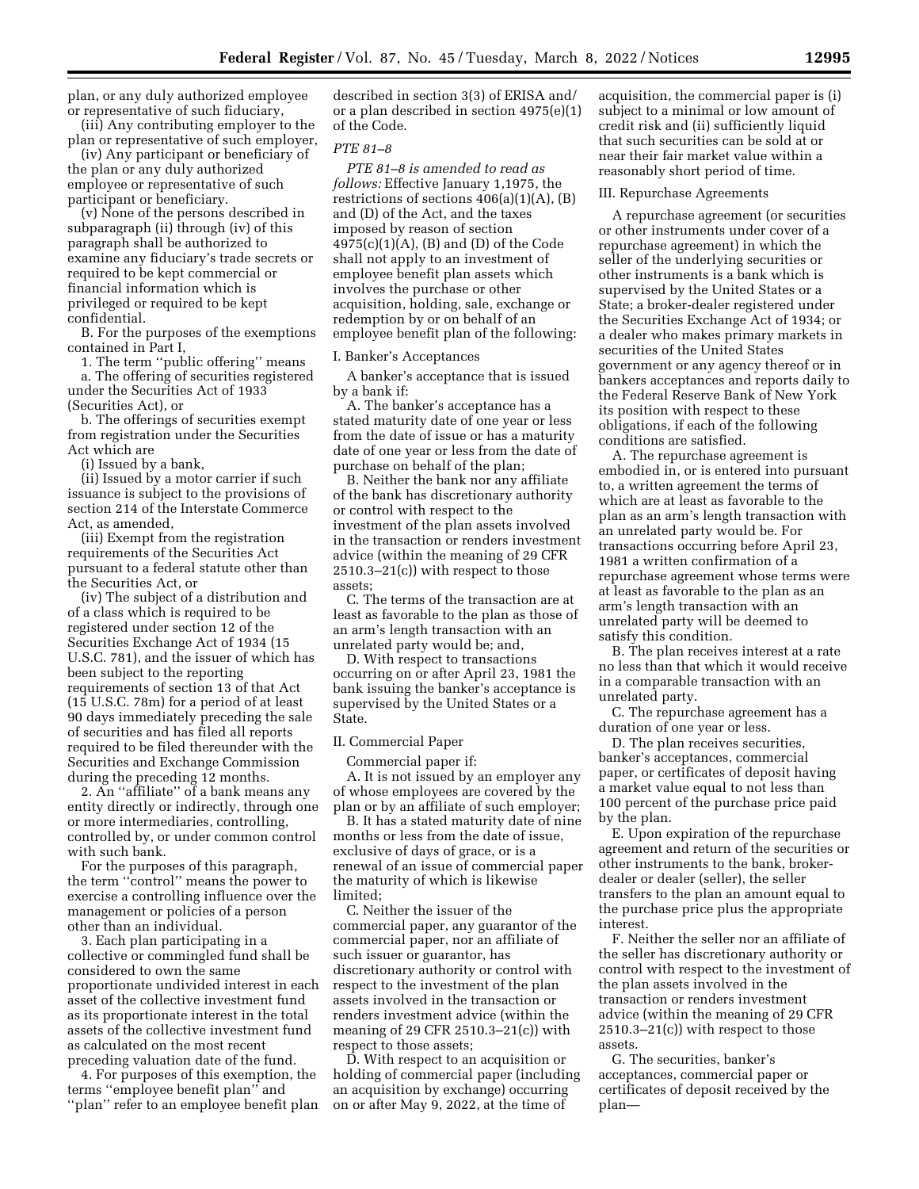plan, or any duly authorized employee or representative of such fiduciary,

(iii) Any contributing employer to the plan or representative of such employer,

(iv) Any participant or beneficiary of the plan or any duly authorized employee or representative of such participant or beneficiary.

(v) None of the persons described in subparagraph (ii) through (iv) of this paragraph shall be authorized to examine any fiduciary's trade secrets or required to be kept commercial or financial information which is privileged or required to be kept confidential.

B. For the purposes of the exemptions contained in Part I,

1. The term ''public offering'' means

a. The offering of securities registered under the Securities Act of 1933 (Securities Act), or

b. The offerings of securities exempt from registration under the Securities Act which are

(i) Issued by a bank,

(ii) Issued by a motor carrier if such issuance is subject to the provisions of section 214 of the Interstate Commerce Act, as amended,

(iii) Exempt from the registration requirements of the Securities Act pursuant to a federal statute other than the Securities Act, or

(iv) The subject of a distribution and of a class which is required to be registered under section 12 of the Securities Exchange Act of 1934 (15 U.S.C. 781), and the issuer of which has been subject to the reporting requirements of section 13 of that Act (15 U.S.C. 78m) for a period of at least 90 days immediately preceding the sale of securities and has filed all reports required to be filed thereunder with the Securities and Exchange Commission during the preceding 12 months.

2. An ''affiliate'' of a bank means any entity directly or indirectly, through one or more intermediaries, controlling, controlled by, or under common control with such bank.

For the purposes of this paragraph, the term ''control'' means the power to exercise a controlling influence over the management or policies of a person other than an individual.

3. Each plan participating in a collective or commingled fund shall be considered to own the same proportionate undivided interest in each asset of the collective investment fund as its proportionate interest in the total assets of the collective investment fund as calculated on the most recent preceding valuation date of the fund.

4. For purposes of this exemption, the terms ''employee benefit plan'' and "plan" refer to an employee benefit plan

described in section 3(3) of ERISA and/ or a plan described in section 4975(e)(1) of the Code.

# *PTE 81–8*

*PTE 81–8 is amended to read as follows:* Effective January 1,1975, the restrictions of sections 406(a)(1)(A), (B) and (D) of the Act, and the taxes imposed by reason of section 4975(c)(1)(A), (B) and (D) of the Code shall not apply to an investment of employee benefit plan assets which involves the purchase or other acquisition, holding, sale, exchange or redemption by or on behalf of an employee benefit plan of the following:

I. Banker's Acceptances

A banker's acceptance that is issued by a bank if:

A. The banker's acceptance has a stated maturity date of one year or less from the date of issue or has a maturity date of one year or less from the date of purchase on behalf of the plan;

B. Neither the bank nor any affiliate of the bank has discretionary authority or control with respect to the investment of the plan assets involved in the transaction or renders investment advice (within the meaning of 29 CFR 2510.3–21(c)) with respect to those assets;

C. The terms of the transaction are at least as favorable to the plan as those of an arm's length transaction with an unrelated party would be; and,

D. With respect to transactions occurring on or after April 23, 1981 the bank issuing the banker's acceptance is supervised by the United States or a State.

### II. Commercial Paper

Commercial paper if: A. It is not issued by an employer any of whose employees are covered by the plan or by an affiliate of such employer;

B. It has a stated maturity date of nine months or less from the date of issue, exclusive of days of grace, or is a renewal of an issue of commercial paper the maturity of which is likewise limited;

C. Neither the issuer of the commercial paper, any guarantor of the commercial paper, nor an affiliate of such issuer or guarantor, has discretionary authority or control with respect to the investment of the plan assets involved in the transaction or renders investment advice (within the meaning of 29 CFR 2510.3–21(c)) with respect to those assets;

D. With respect to an acquisition or holding of commercial paper (including an acquisition by exchange) occurring on or after May 9, 2022, at the time of

acquisition, the commercial paper is (i) subject to a minimal or low amount of credit risk and (ii) sufficiently liquid that such securities can be sold at or near their fair market value within a reasonably short period of time.

### III. Repurchase Agreements

A repurchase agreement (or securities or other instruments under cover of a repurchase agreement) in which the seller of the underlying securities or other instruments is a bank which is supervised by the United States or a State; a broker-dealer registered under the Securities Exchange Act of 1934; or a dealer who makes primary markets in securities of the United States government or any agency thereof or in bankers acceptances and reports daily to the Federal Reserve Bank of New York its position with respect to these obligations, if each of the following conditions are satisfied.

A. The repurchase agreement is embodied in, or is entered into pursuant to, a written agreement the terms of which are at least as favorable to the plan as an arm's length transaction with an unrelated party would be. For transactions occurring before April 23, 1981 a written confirmation of a repurchase agreement whose terms were at least as favorable to the plan as an arm's length transaction with an unrelated party will be deemed to satisfy this condition.

B. The plan receives interest at a rate no less than that which it would receive in a comparable transaction with an unrelated party.

C. The repurchase agreement has a duration of one year or less.

D. The plan receives securities, banker's acceptances, commercial paper, or certificates of deposit having a market value equal to not less than 100 percent of the purchase price paid by the plan.

E. Upon expiration of the repurchase agreement and return of the securities or other instruments to the bank, brokerdealer or dealer (seller), the seller transfers to the plan an amount equal to the purchase price plus the appropriate interest.

F. Neither the seller nor an affiliate of the seller has discretionary authority or control with respect to the investment of the plan assets involved in the transaction or renders investment advice (within the meaning of 29 CFR 2510.3–21(c)) with respect to those assets.

G. The securities, banker's acceptances, commercial paper or certificates of deposit received by the plan—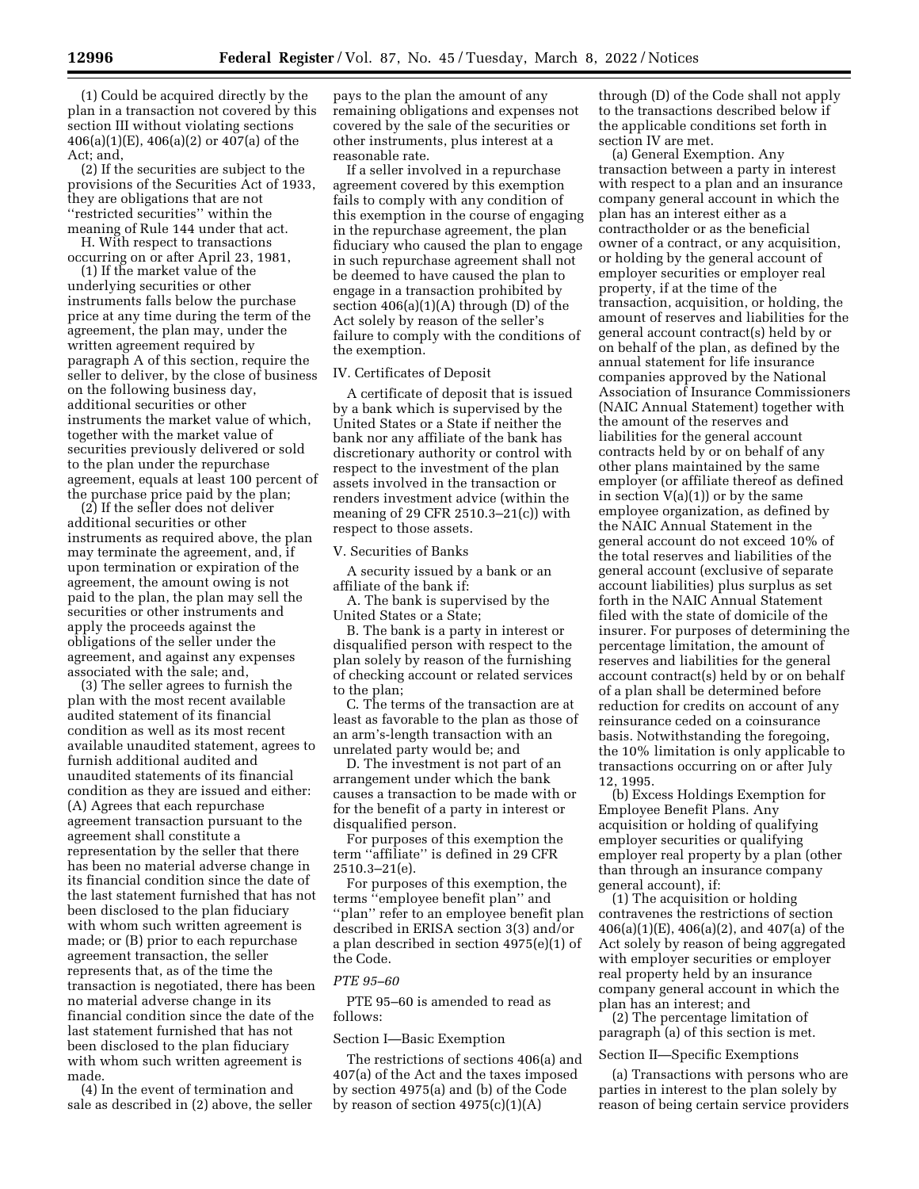(1) Could be acquired directly by the plan in a transaction not covered by this section III without violating sections 406(a)(1)(E), 406(a)(2) or 407(a) of the Act; and,

(2) If the securities are subject to the provisions of the Securities Act of 1933, they are obligations that are not ''restricted securities'' within the meaning of Rule 144 under that act.

H. With respect to transactions occurring on or after April 23, 1981,

(1) If the market value of the underlying securities or other instruments falls below the purchase price at any time during the term of the agreement, the plan may, under the written agreement required by paragraph A of this section, require the seller to deliver, by the close of business on the following business day, additional securities or other instruments the market value of which, together with the market value of securities previously delivered or sold to the plan under the repurchase agreement, equals at least 100 percent of the purchase price paid by the plan;

(2) If the seller does not deliver additional securities or other instruments as required above, the plan may terminate the agreement, and, if upon termination or expiration of the agreement, the amount owing is not paid to the plan, the plan may sell the securities or other instruments and apply the proceeds against the obligations of the seller under the agreement, and against any expenses associated with the sale; and,

(3) The seller agrees to furnish the plan with the most recent available audited statement of its financial condition as well as its most recent available unaudited statement, agrees to furnish additional audited and unaudited statements of its financial condition as they are issued and either: (A) Agrees that each repurchase agreement transaction pursuant to the agreement shall constitute a representation by the seller that there has been no material adverse change in its financial condition since the date of the last statement furnished that has not been disclosed to the plan fiduciary with whom such written agreement is made; or (B) prior to each repurchase agreement transaction, the seller represents that, as of the time the transaction is negotiated, there has been no material adverse change in its financial condition since the date of the last statement furnished that has not been disclosed to the plan fiduciary with whom such written agreement is made.

(4) In the event of termination and sale as described in (2) above, the seller

pays to the plan the amount of any remaining obligations and expenses not covered by the sale of the securities or other instruments, plus interest at a reasonable rate.

If a seller involved in a repurchase agreement covered by this exemption fails to comply with any condition of this exemption in the course of engaging in the repurchase agreement, the plan fiduciary who caused the plan to engage in such repurchase agreement shall not be deemed to have caused the plan to engage in a transaction prohibited by section  $406(a)(1)(A)$  through  $(D)$  of the Act solely by reason of the seller's failure to comply with the conditions of the exemption.

### IV. Certificates of Deposit

A certificate of deposit that is issued by a bank which is supervised by the United States or a State if neither the bank nor any affiliate of the bank has discretionary authority or control with respect to the investment of the plan assets involved in the transaction or renders investment advice (within the meaning of 29 CFR 2510.3–21(c)) with respect to those assets.

V. Securities of Banks

A security issued by a bank or an affiliate of the bank if:

A. The bank is supervised by the United States or a State;

B. The bank is a party in interest or disqualified person with respect to the plan solely by reason of the furnishing of checking account or related services to the plan;

C. The terms of the transaction are at least as favorable to the plan as those of an arm's-length transaction with an unrelated party would be; and

D. The investment is not part of an arrangement under which the bank causes a transaction to be made with or for the benefit of a party in interest or disqualified person.

For purposes of this exemption the term ''affiliate'' is defined in 29 CFR 2510.3–21(e).

For purposes of this exemption, the terms ''employee benefit plan'' and ''plan'' refer to an employee benefit plan described in ERISA section 3(3) and/or a plan described in section 4975(e)(1) of the Code.

### *PTE 95–60*

PTE 95–60 is amended to read as follows:

### Section I—Basic Exemption

The restrictions of sections 406(a) and 407(a) of the Act and the taxes imposed by section 4975(a) and (b) of the Code by reason of section  $4975(c)(1)(A)$ 

through (D) of the Code shall not apply to the transactions described below if the applicable conditions set forth in section IV are met.

(a) General Exemption. Any transaction between a party in interest with respect to a plan and an insurance company general account in which the plan has an interest either as a contractholder or as the beneficial owner of a contract, or any acquisition, or holding by the general account of employer securities or employer real property, if at the time of the transaction, acquisition, or holding, the amount of reserves and liabilities for the general account contract(s) held by or on behalf of the plan, as defined by the annual statement for life insurance companies approved by the National Association of Insurance Commissioners (NAIC Annual Statement) together with the amount of the reserves and liabilities for the general account contracts held by or on behalf of any other plans maintained by the same employer (or affiliate thereof as defined in section  $V(a)(1)$  or by the same employee organization, as defined by the NAIC Annual Statement in the general account do not exceed 10% of the total reserves and liabilities of the general account (exclusive of separate account liabilities) plus surplus as set forth in the NAIC Annual Statement filed with the state of domicile of the insurer. For purposes of determining the percentage limitation, the amount of reserves and liabilities for the general account contract(s) held by or on behalf of a plan shall be determined before reduction for credits on account of any reinsurance ceded on a coinsurance basis. Notwithstanding the foregoing, the 10% limitation is only applicable to transactions occurring on or after July 12, 1995.

(b) Excess Holdings Exemption for Employee Benefit Plans. Any acquisition or holding of qualifying employer securities or qualifying employer real property by a plan (other than through an insurance company general account), if:

(1) The acquisition or holding contravenes the restrictions of section 406(a)(1)(E), 406(a)(2), and 407(a) of the Act solely by reason of being aggregated with employer securities or employer real property held by an insurance company general account in which the plan has an interest; and

(2) The percentage limitation of paragraph (a) of this section is met.

### Section II—Specific Exemptions

(a) Transactions with persons who are parties in interest to the plan solely by reason of being certain service providers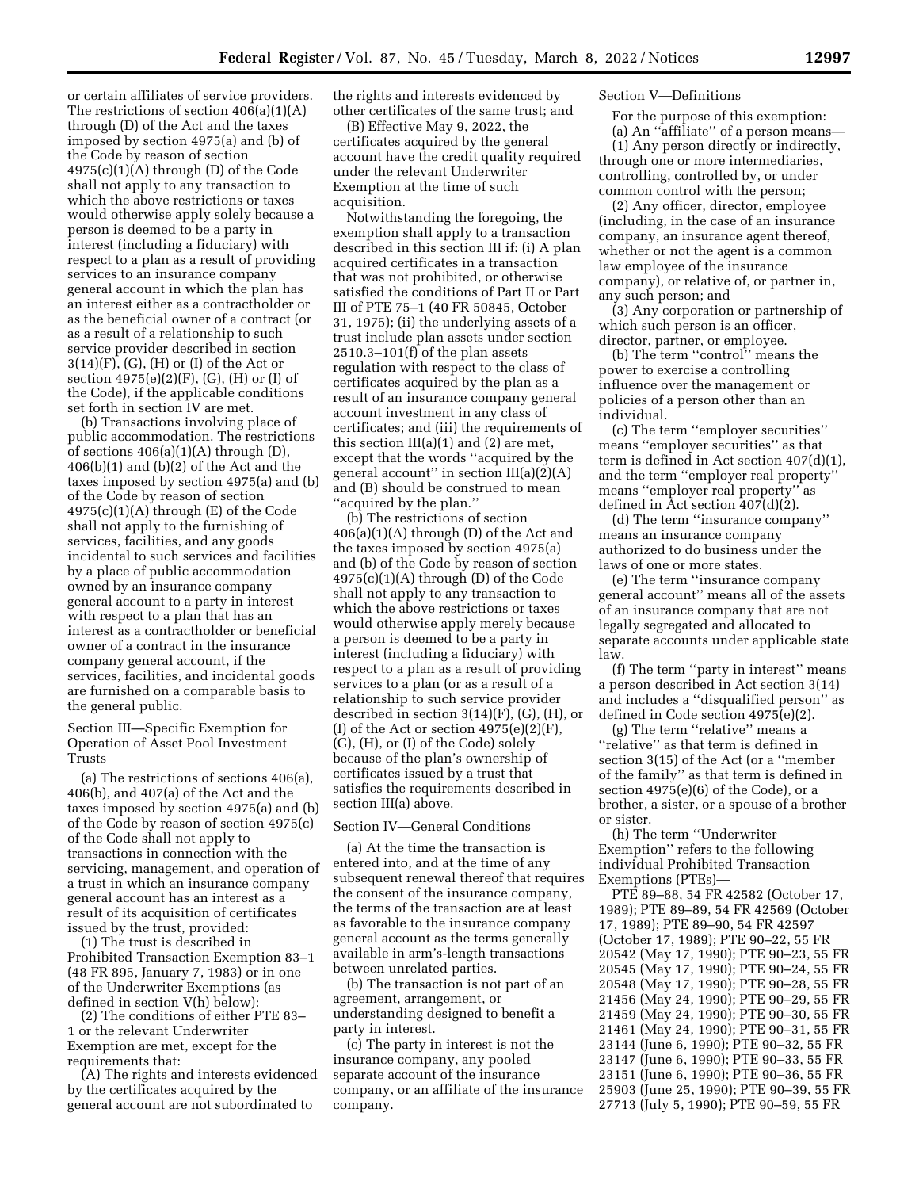or certain affiliates of service providers. The restrictions of section 406(a)(1)(A) through (D) of the Act and the taxes imposed by section 4975(a) and (b) of the Code by reason of section  $4975(c)(1)(A)$  through  $(D)$  of the Code shall not apply to any transaction to which the above restrictions or taxes would otherwise apply solely because a person is deemed to be a party in interest (including a fiduciary) with respect to a plan as a result of providing services to an insurance company general account in which the plan has an interest either as a contractholder or as the beneficial owner of a contract (or as a result of a relationship to such service provider described in section 3(14)(F), (G), (H) or (I) of the Act or section 4975(e)(2)(F), (G), (H) or (I) of the Code), if the applicable conditions set forth in section IV are met.

(b) Transactions involving place of public accommodation. The restrictions of sections  $406(a)(1)(A)$  through  $(D)$ , 406(b)(1) and (b)(2) of the Act and the taxes imposed by section 4975(a) and (b) of the Code by reason of section  $4975(c)(1)(A)$  through  $(E)$  of the Code shall not apply to the furnishing of services, facilities, and any goods incidental to such services and facilities by a place of public accommodation owned by an insurance company general account to a party in interest with respect to a plan that has an interest as a contractholder or beneficial owner of a contract in the insurance company general account, if the services, facilities, and incidental goods are furnished on a comparable basis to the general public.

Section III—Specific Exemption for Operation of Asset Pool Investment Trusts

(a) The restrictions of sections 406(a), 406(b), and 407(a) of the Act and the taxes imposed by section 4975(a) and (b) of the Code by reason of section 4975(c) of the Code shall not apply to transactions in connection with the servicing, management, and operation of a trust in which an insurance company general account has an interest as a result of its acquisition of certificates issued by the trust, provided:

(1) The trust is described in Prohibited Transaction Exemption 83–1 (48 FR 895, January 7, 1983) or in one of the Underwriter Exemptions (as defined in section V(h) below):

(2) The conditions of either PTE 83– 1 or the relevant Underwriter Exemption are met, except for the requirements that:

(A) The rights and interests evidenced by the certificates acquired by the general account are not subordinated to

the rights and interests evidenced by other certificates of the same trust; and

(B) Effective May 9, 2022, the certificates acquired by the general account have the credit quality required under the relevant Underwriter Exemption at the time of such acquisition.

Notwithstanding the foregoing, the exemption shall apply to a transaction described in this section III if: (i) A plan acquired certificates in a transaction that was not prohibited, or otherwise satisfied the conditions of Part II or Part III of PTE 75–1 (40 FR 50845, October 31, 1975); (ii) the underlying assets of a trust include plan assets under section 2510.3–101(f) of the plan assets regulation with respect to the class of certificates acquired by the plan as a result of an insurance company general account investment in any class of certificates; and (iii) the requirements of this section  $III(a)(1)$  and  $(2)$  are met, except that the words ''acquired by the general account'' in section III(a)(2)(A) and (B) should be construed to mean ''acquired by the plan.''

(b) The restrictions of section 406(a)(1)(A) through (D) of the Act and the taxes imposed by section 4975(a) and (b) of the Code by reason of section  $4975(c)(1)(A)$  through (D) of the Code shall not apply to any transaction to which the above restrictions or taxes would otherwise apply merely because a person is deemed to be a party in interest (including a fiduciary) with respect to a plan as a result of providing services to a plan (or as a result of a relationship to such service provider described in section 3(14)(F), (G), (H), or (I) of the Act or section  $4975(e)(2)(F)$ , (G), (H), or (I) of the Code) solely because of the plan's ownership of certificates issued by a trust that satisfies the requirements described in section III(a) above.

### Section IV—General Conditions

(a) At the time the transaction is entered into, and at the time of any subsequent renewal thereof that requires the consent of the insurance company, the terms of the transaction are at least as favorable to the insurance company general account as the terms generally available in arm's-length transactions between unrelated parties.

(b) The transaction is not part of an agreement, arrangement, or understanding designed to benefit a party in interest.

(c) The party in interest is not the insurance company, any pooled separate account of the insurance company, or an affiliate of the insurance company.

### Section V—Definitions

For the purpose of this exemption: (a) An ''affiliate'' of a person means—

(1) Any person directly or indirectly, through one or more intermediaries, controlling, controlled by, or under common control with the person;

(2) Any officer, director, employee (including, in the case of an insurance company, an insurance agent thereof, whether or not the agent is a common law employee of the insurance company), or relative of, or partner in, any such person; and

(3) Any corporation or partnership of which such person is an officer, director, partner, or employee.

(b) The term ''control'' means the power to exercise a controlling influence over the management or policies of a person other than an individual.

(c) The term ''employer securities'' means ''employer securities'' as that term is defined in Act section 407(d)(1), and the term ''employer real property'' means ''employer real property'' as defined in Act section 407(d)(2).

(d) The term ''insurance company'' means an insurance company authorized to do business under the laws of one or more states.

(e) The term ''insurance company general account'' means all of the assets of an insurance company that are not legally segregated and allocated to separate accounts under applicable state law.

(f) The term ''party in interest'' means a person described in Act section 3(14) and includes a ''disqualified person'' as defined in Code section 4975(e)(2).

(g) The term ''relative'' means a ''relative'' as that term is defined in section 3(15) of the Act (or a ''member of the family'' as that term is defined in section 4975(e)(6) of the Code), or a brother, a sister, or a spouse of a brother or sister.

(h) The term ''Underwriter Exemption'' refers to the following individual Prohibited Transaction Exemptions (PTEs)—

PTE 89–88, 54 FR 42582 (October 17, 1989); PTE 89–89, 54 FR 42569 (October 17, 1989); PTE 89–90, 54 FR 42597 (October 17, 1989); PTE 90–22, 55 FR 20542 (May 17, 1990); PTE 90–23, 55 FR 20545 (May 17, 1990); PTE 90–24, 55 FR 20548 (May 17, 1990); PTE 90–28, 55 FR 21456 (May 24, 1990); PTE 90–29, 55 FR 21459 (May 24, 1990); PTE 90–30, 55 FR 21461 (May 24, 1990); PTE 90–31, 55 FR 23144 (June 6, 1990); PTE 90–32, 55 FR 23147 (June 6, 1990); PTE 90–33, 55 FR 23151 (June 6, 1990); PTE 90–36, 55 FR 25903 (June 25, 1990); PTE 90–39, 55 FR 27713 (July 5, 1990); PTE 90–59, 55 FR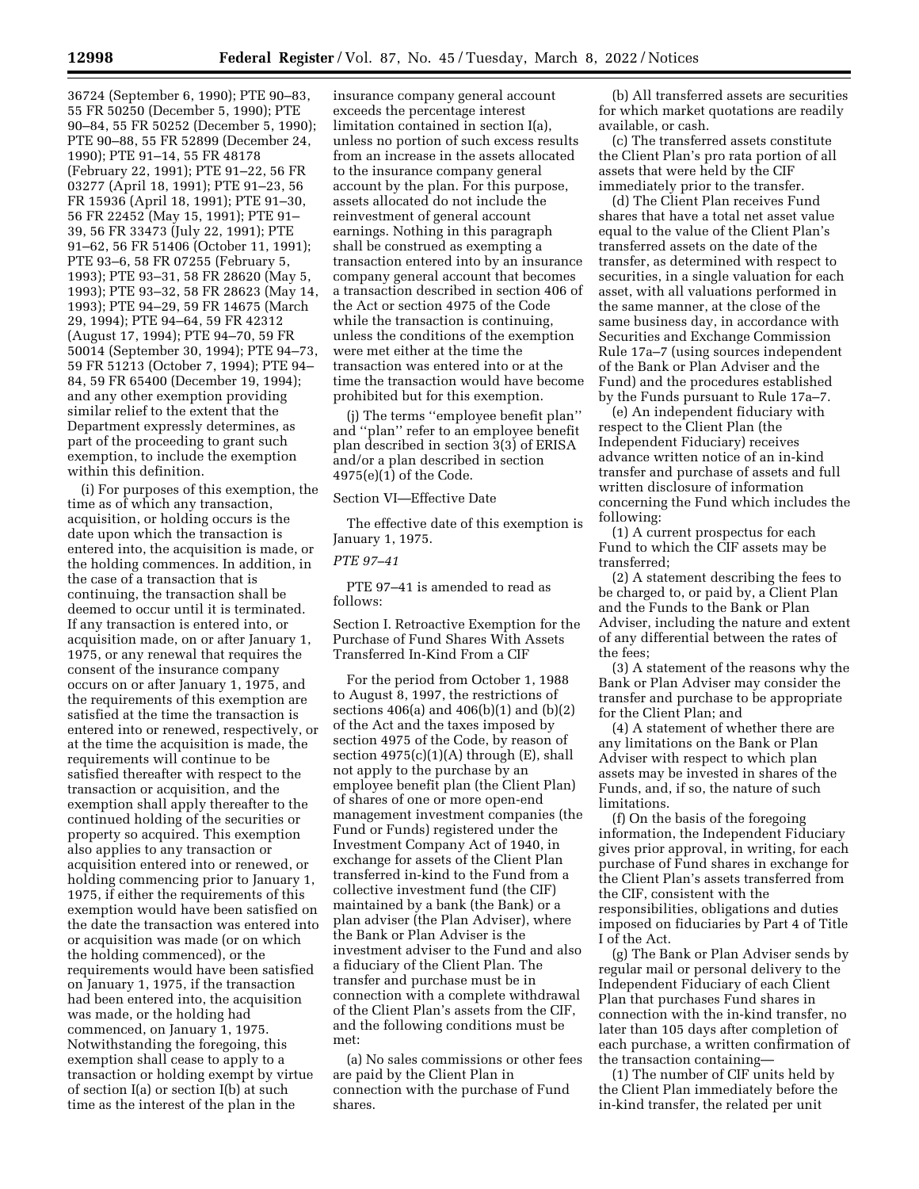36724 (September 6, 1990); PTE 90–83, 55 FR 50250 (December 5, 1990); PTE 90–84, 55 FR 50252 (December 5, 1990); PTE 90–88, 55 FR 52899 (December 24, 1990); PTE 91–14, 55 FR 48178 (February 22, 1991); PTE 91–22, 56 FR 03277 (April 18, 1991); PTE 91–23, 56 FR 15936 (April 18, 1991); PTE 91–30, 56 FR 22452 (May 15, 1991); PTE 91– 39, 56 FR 33473 (July 22, 1991); PTE 91–62, 56 FR 51406 (October 11, 1991); PTE 93–6, 58 FR 07255 (February 5, 1993); PTE 93–31, 58 FR 28620 (May 5, 1993); PTE 93–32, 58 FR 28623 (May 14, 1993); PTE 94–29, 59 FR 14675 (March 29, 1994); PTE 94–64, 59 FR 42312 (August 17, 1994); PTE 94–70, 59 FR 50014 (September 30, 1994); PTE 94–73, 59 FR 51213 (October 7, 1994); PTE 94– 84, 59 FR 65400 (December 19, 1994); and any other exemption providing similar relief to the extent that the Department expressly determines, as part of the proceeding to grant such exemption, to include the exemption within this definition.

(i) For purposes of this exemption, the time as of which any transaction, acquisition, or holding occurs is the date upon which the transaction is entered into, the acquisition is made, or the holding commences. In addition, in the case of a transaction that is continuing, the transaction shall be deemed to occur until it is terminated. If any transaction is entered into, or acquisition made, on or after January 1, 1975, or any renewal that requires the consent of the insurance company occurs on or after January 1, 1975, and the requirements of this exemption are satisfied at the time the transaction is entered into or renewed, respectively, or at the time the acquisition is made, the requirements will continue to be satisfied thereafter with respect to the transaction or acquisition, and the exemption shall apply thereafter to the continued holding of the securities or property so acquired. This exemption also applies to any transaction or acquisition entered into or renewed, or holding commencing prior to January 1, 1975, if either the requirements of this exemption would have been satisfied on the date the transaction was entered into or acquisition was made (or on which the holding commenced), or the requirements would have been satisfied on January 1, 1975, if the transaction had been entered into, the acquisition was made, or the holding had commenced, on January 1, 1975. Notwithstanding the foregoing, this exemption shall cease to apply to a transaction or holding exempt by virtue of section I(a) or section I(b) at such time as the interest of the plan in the

insurance company general account exceeds the percentage interest limitation contained in section I(a), unless no portion of such excess results from an increase in the assets allocated to the insurance company general account by the plan. For this purpose, assets allocated do not include the reinvestment of general account earnings. Nothing in this paragraph shall be construed as exempting a transaction entered into by an insurance company general account that becomes a transaction described in section 406 of the Act or section 4975 of the Code while the transaction is continuing, unless the conditions of the exemption were met either at the time the transaction was entered into or at the time the transaction would have become prohibited but for this exemption.

(j) The terms ''employee benefit plan'' and ''plan'' refer to an employee benefit plan described in section 3(3) of ERISA and/or a plan described in section 4975(e)(1) of the Code.

Section VI—Effective Date

The effective date of this exemption is January 1, 1975.

# *PTE 97–41*

PTE 97–41 is amended to read as follows:

Section I. Retroactive Exemption for the Purchase of Fund Shares With Assets Transferred In-Kind From a CIF

For the period from October 1, 1988 to August 8, 1997, the restrictions of sections 406(a) and 406(b)(1) and (b)(2) of the Act and the taxes imposed by section 4975 of the Code, by reason of section 4975(c)(1)(A) through (E), shall not apply to the purchase by an employee benefit plan (the Client Plan) of shares of one or more open-end management investment companies (the Fund or Funds) registered under the Investment Company Act of 1940, in exchange for assets of the Client Plan transferred in-kind to the Fund from a collective investment fund (the CIF) maintained by a bank (the Bank) or a plan adviser (the Plan Adviser), where the Bank or Plan Adviser is the investment adviser to the Fund and also a fiduciary of the Client Plan. The transfer and purchase must be in connection with a complete withdrawal of the Client Plan's assets from the CIF, and the following conditions must be met:

(a) No sales commissions or other fees are paid by the Client Plan in connection with the purchase of Fund shares.

(b) All transferred assets are securities for which market quotations are readily available, or cash.

(c) The transferred assets constitute the Client Plan's pro rata portion of all assets that were held by the CIF immediately prior to the transfer.

(d) The Client Plan receives Fund shares that have a total net asset value equal to the value of the Client Plan's transferred assets on the date of the transfer, as determined with respect to securities, in a single valuation for each asset, with all valuations performed in the same manner, at the close of the same business day, in accordance with Securities and Exchange Commission Rule 17a–7 (using sources independent of the Bank or Plan Adviser and the Fund) and the procedures established by the Funds pursuant to Rule 17a–7.

(e) An independent fiduciary with respect to the Client Plan (the Independent Fiduciary) receives advance written notice of an in-kind transfer and purchase of assets and full written disclosure of information concerning the Fund which includes the following:

(1) A current prospectus for each Fund to which the CIF assets may be transferred;

(2) A statement describing the fees to be charged to, or paid by, a Client Plan and the Funds to the Bank or Plan Adviser, including the nature and extent of any differential between the rates of the fees;

(3) A statement of the reasons why the Bank or Plan Adviser may consider the transfer and purchase to be appropriate for the Client Plan; and

(4) A statement of whether there are any limitations on the Bank or Plan Adviser with respect to which plan assets may be invested in shares of the Funds, and, if so, the nature of such limitations.

(f) On the basis of the foregoing information, the Independent Fiduciary gives prior approval, in writing, for each purchase of Fund shares in exchange for the Client Plan's assets transferred from the CIF, consistent with the responsibilities, obligations and duties imposed on fiduciaries by Part 4 of Title I of the Act.

(g) The Bank or Plan Adviser sends by regular mail or personal delivery to the Independent Fiduciary of each Client Plan that purchases Fund shares in connection with the in-kind transfer, no later than 105 days after completion of each purchase, a written confirmation of the transaction containing—

(1) The number of CIF units held by the Client Plan immediately before the in-kind transfer, the related per unit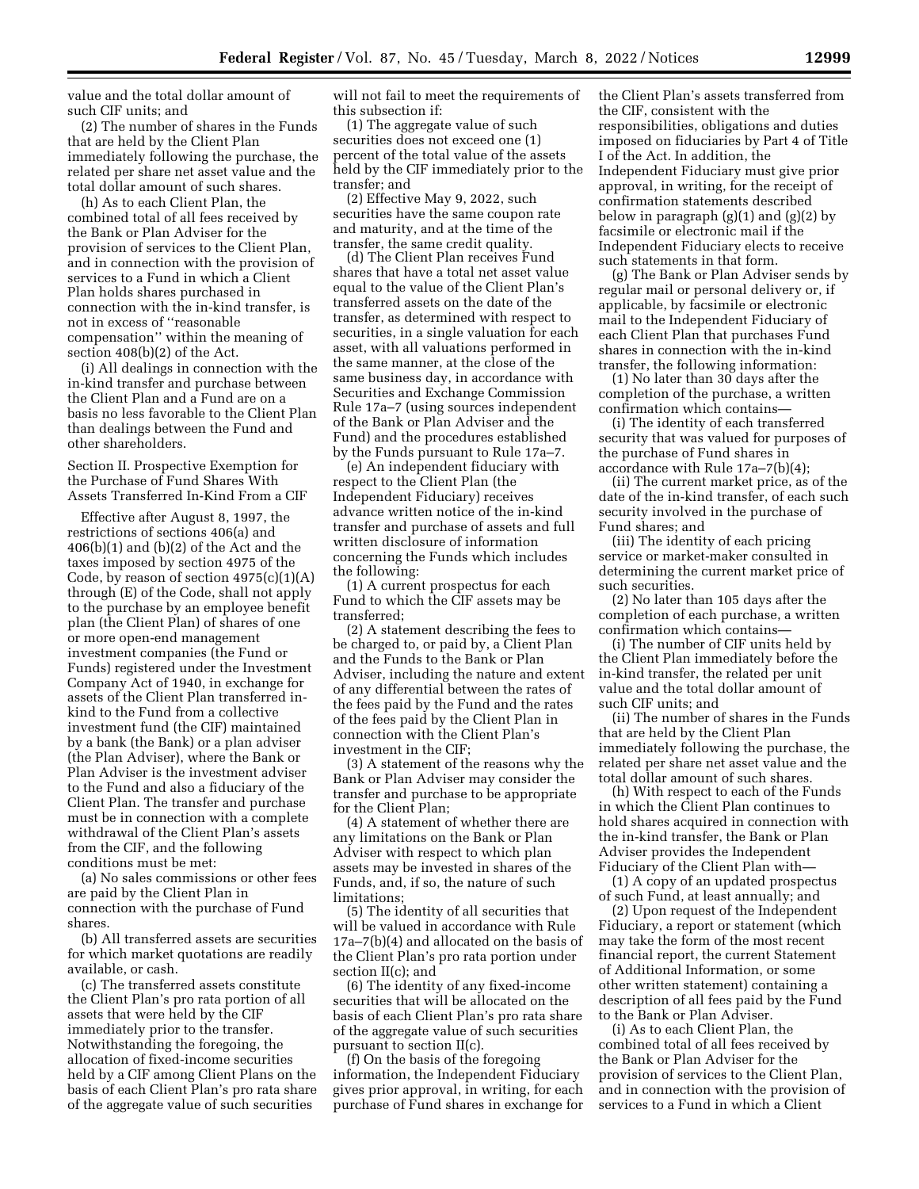value and the total dollar amount of such CIF units; and

(2) The number of shares in the Funds that are held by the Client Plan immediately following the purchase, the related per share net asset value and the total dollar amount of such shares.

(h) As to each Client Plan, the combined total of all fees received by the Bank or Plan Adviser for the provision of services to the Client Plan, and in connection with the provision of services to a Fund in which a Client Plan holds shares purchased in connection with the in-kind transfer, is not in excess of ''reasonable compensation'' within the meaning of section 408(b)(2) of the Act.

(i) All dealings in connection with the in-kind transfer and purchase between the Client Plan and a Fund are on a basis no less favorable to the Client Plan than dealings between the Fund and other shareholders.

Section II. Prospective Exemption for the Purchase of Fund Shares With Assets Transferred In-Kind From a CIF

Effective after August 8, 1997, the restrictions of sections 406(a) and  $406(b)(1)$  and  $(b)(2)$  of the Act and the taxes imposed by section 4975 of the Code, by reason of section  $4975(c)(1)(A)$ through (E) of the Code, shall not apply to the purchase by an employee benefit plan (the Client Plan) of shares of one or more open-end management investment companies (the Fund or Funds) registered under the Investment Company Act of 1940, in exchange for assets of the Client Plan transferred inkind to the Fund from a collective investment fund (the CIF) maintained by a bank (the Bank) or a plan adviser (the Plan Adviser), where the Bank or Plan Adviser is the investment adviser to the Fund and also a fiduciary of the Client Plan. The transfer and purchase must be in connection with a complete withdrawal of the Client Plan's assets from the CIF, and the following conditions must be met:

(a) No sales commissions or other fees are paid by the Client Plan in connection with the purchase of Fund shares.

(b) All transferred assets are securities for which market quotations are readily available, or cash.

(c) The transferred assets constitute the Client Plan's pro rata portion of all assets that were held by the CIF immediately prior to the transfer. Notwithstanding the foregoing, the allocation of fixed-income securities held by a CIF among Client Plans on the basis of each Client Plan's pro rata share of the aggregate value of such securities

will not fail to meet the requirements of this subsection if:

(1) The aggregate value of such securities does not exceed one (1) percent of the total value of the assets held by the CIF immediately prior to the transfer; and

(2) Effective May 9, 2022, such securities have the same coupon rate and maturity, and at the time of the transfer, the same credit quality.

(d) The Client Plan receives Fund shares that have a total net asset value equal to the value of the Client Plan's transferred assets on the date of the transfer, as determined with respect to securities, in a single valuation for each asset, with all valuations performed in the same manner, at the close of the same business day, in accordance with Securities and Exchange Commission Rule 17a–7 (using sources independent of the Bank or Plan Adviser and the Fund) and the procedures established by the Funds pursuant to Rule 17a–7.

(e) An independent fiduciary with respect to the Client Plan (the Independent Fiduciary) receives advance written notice of the in-kind transfer and purchase of assets and full written disclosure of information concerning the Funds which includes the following:

(1) A current prospectus for each Fund to which the CIF assets may be transferred;

(2) A statement describing the fees to be charged to, or paid by, a Client Plan and the Funds to the Bank or Plan Adviser, including the nature and extent of any differential between the rates of the fees paid by the Fund and the rates of the fees paid by the Client Plan in connection with the Client Plan's investment in the CIF;

(3) A statement of the reasons why the Bank or Plan Adviser may consider the transfer and purchase to be appropriate for the Client Plan;

(4) A statement of whether there are any limitations on the Bank or Plan Adviser with respect to which plan assets may be invested in shares of the Funds, and, if so, the nature of such limitations;

(5) The identity of all securities that will be valued in accordance with Rule 17a–7(b)(4) and allocated on the basis of the Client Plan's pro rata portion under section II(c); and

(6) The identity of any fixed-income securities that will be allocated on the basis of each Client Plan's pro rata share of the aggregate value of such securities pursuant to section II(c).

(f) On the basis of the foregoing information, the Independent Fiduciary gives prior approval, in writing, for each purchase of Fund shares in exchange for the Client Plan's assets transferred from the CIF, consistent with the responsibilities, obligations and duties imposed on fiduciaries by Part 4 of Title I of the Act. In addition, the Independent Fiduciary must give prior approval, in writing, for the receipt of confirmation statements described below in paragraph  $(g)(1)$  and  $(g)(2)$  by facsimile or electronic mail if the Independent Fiduciary elects to receive such statements in that form.

(g) The Bank or Plan Adviser sends by regular mail or personal delivery or, if applicable, by facsimile or electronic mail to the Independent Fiduciary of each Client Plan that purchases Fund shares in connection with the in-kind transfer, the following information:

(1) No later than 30 days after the completion of the purchase, a written confirmation which contains—

(i) The identity of each transferred security that was valued for purposes of the purchase of Fund shares in accordance with Rule 17a–7(b)(4);

(ii) The current market price, as of the date of the in-kind transfer, of each such security involved in the purchase of Fund shares; and

(iii) The identity of each pricing service or market-maker consulted in determining the current market price of such securities.

(2) No later than 105 days after the completion of each purchase, a written confirmation which contains—

(i) The number of CIF units held by the Client Plan immediately before the in-kind transfer, the related per unit value and the total dollar amount of such CIF units; and

(ii) The number of shares in the Funds that are held by the Client Plan immediately following the purchase, the related per share net asset value and the total dollar amount of such shares.

(h) With respect to each of the Funds in which the Client Plan continues to hold shares acquired in connection with the in-kind transfer, the Bank or Plan Adviser provides the Independent Fiduciary of the Client Plan with—

(1) A copy of an updated prospectus of such Fund, at least annually; and

(2) Upon request of the Independent Fiduciary, a report or statement (which may take the form of the most recent financial report, the current Statement of Additional Information, or some other written statement) containing a description of all fees paid by the Fund to the Bank or Plan Adviser.

(i) As to each Client Plan, the combined total of all fees received by the Bank or Plan Adviser for the provision of services to the Client Plan, and in connection with the provision of services to a Fund in which a Client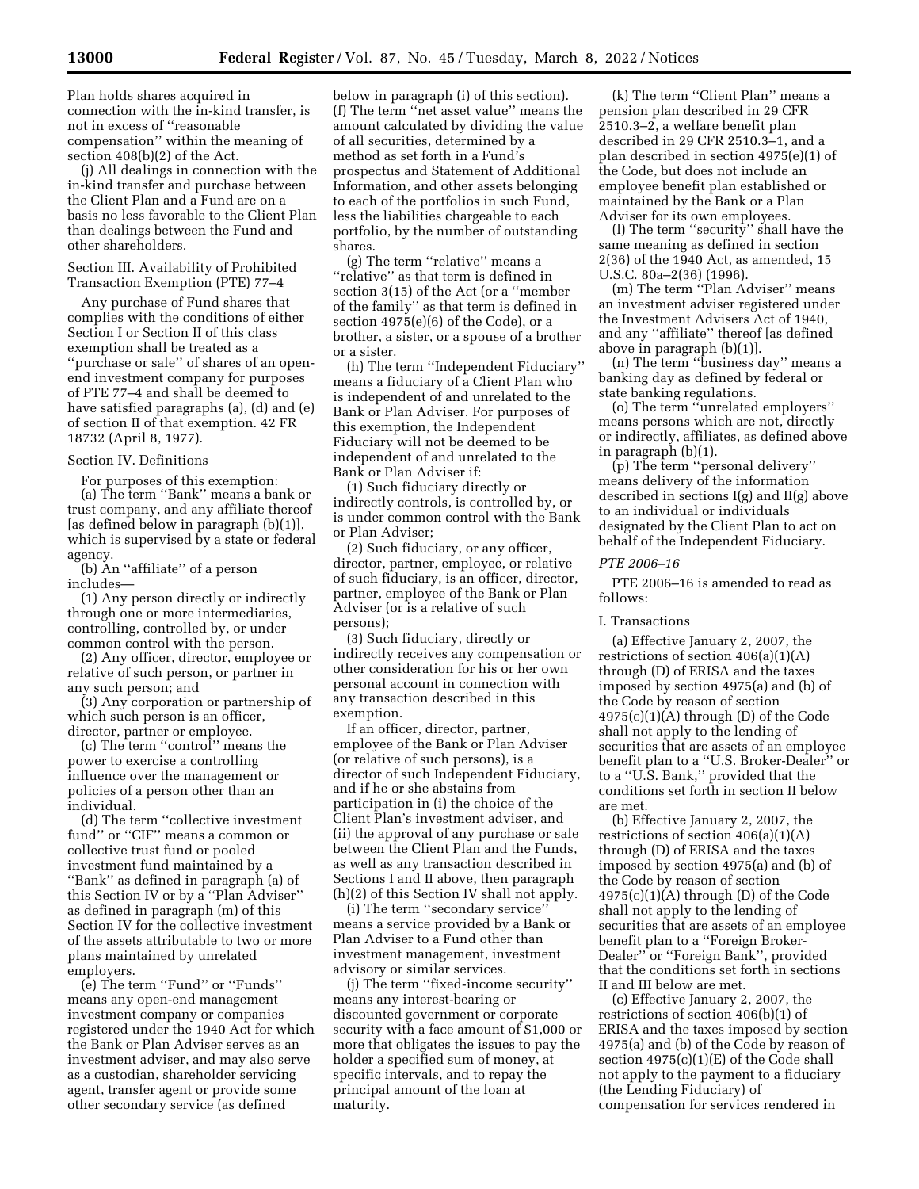Plan holds shares acquired in connection with the in-kind transfer, is not in excess of ''reasonable compensation'' within the meaning of section 408(b)(2) of the Act.

(j) All dealings in connection with the in-kind transfer and purchase between the Client Plan and a Fund are on a basis no less favorable to the Client Plan than dealings between the Fund and other shareholders.

### Section III. Availability of Prohibited Transaction Exemption (PTE) 77–4

Any purchase of Fund shares that complies with the conditions of either Section I or Section II of this class exemption shall be treated as a ''purchase or sale'' of shares of an openend investment company for purposes of PTE 77–4 and shall be deemed to have satisfied paragraphs (a), (d) and (e) of section II of that exemption. 42 FR 18732 (April 8, 1977).

# Section IV. Definitions

For purposes of this exemption: (a) The term ''Bank'' means a bank or trust company, and any affiliate thereof [as defined below in paragraph (b)(1)], which is supervised by a state or federal agency.

(b) An ''affiliate'' of a person includes—

(1) Any person directly or indirectly through one or more intermediaries, controlling, controlled by, or under common control with the person.

(2) Any officer, director, employee or relative of such person, or partner in any such person; and

(3) Any corporation or partnership of which such person is an officer, director, partner or employee.

(c) The term ''control'' means the power to exercise a controlling influence over the management or policies of a person other than an individual.

(d) The term ''collective investment fund" or "CIF" means a common or collective trust fund or pooled investment fund maintained by a ''Bank'' as defined in paragraph (a) of this Section IV or by a ''Plan Adviser'' as defined in paragraph (m) of this Section IV for the collective investment of the assets attributable to two or more plans maintained by unrelated employers.

(e) The term ''Fund'' or ''Funds'' means any open-end management investment company or companies registered under the 1940 Act for which the Bank or Plan Adviser serves as an investment adviser, and may also serve as a custodian, shareholder servicing agent, transfer agent or provide some other secondary service (as defined

below in paragraph (i) of this section). (f) The term ''net asset value'' means the amount calculated by dividing the value of all securities, determined by a method as set forth in a Fund's prospectus and Statement of Additional Information, and other assets belonging to each of the portfolios in such Fund, less the liabilities chargeable to each portfolio, by the number of outstanding shares.

(g) The term ''relative'' means a ''relative'' as that term is defined in section 3(15) of the Act (or a ''member of the family'' as that term is defined in section 4975(e)(6) of the Code), or a brother, a sister, or a spouse of a brother or a sister.

(h) The term ''Independent Fiduciary'' means a fiduciary of a Client Plan who is independent of and unrelated to the Bank or Plan Adviser. For purposes of this exemption, the Independent Fiduciary will not be deemed to be independent of and unrelated to the Bank or Plan Adviser if:

(1) Such fiduciary directly or indirectly controls, is controlled by, or is under common control with the Bank or Plan Adviser;

(2) Such fiduciary, or any officer, director, partner, employee, or relative of such fiduciary, is an officer, director, partner, employee of the Bank or Plan Adviser (or is a relative of such persons);

(3) Such fiduciary, directly or indirectly receives any compensation or other consideration for his or her own personal account in connection with any transaction described in this exemption.

If an officer, director, partner, employee of the Bank or Plan Adviser (or relative of such persons), is a director of such Independent Fiduciary, and if he or she abstains from participation in (i) the choice of the Client Plan's investment adviser, and (ii) the approval of any purchase or sale between the Client Plan and the Funds, as well as any transaction described in Sections I and II above, then paragraph (h)(2) of this Section IV shall not apply.

(i) The term ''secondary service'' means a service provided by a Bank or Plan Adviser to a Fund other than investment management, investment advisory or similar services.

(j) The term ''fixed-income security'' means any interest-bearing or discounted government or corporate security with a face amount of \$1,000 or more that obligates the issues to pay the holder a specified sum of money, at specific intervals, and to repay the principal amount of the loan at maturity.

(k) The term ''Client Plan'' means a pension plan described in 29 CFR 2510.3–2, a welfare benefit plan described in 29 CFR 2510.3–1, and a plan described in section 4975(e)(1) of the Code, but does not include an employee benefit plan established or maintained by the Bank or a Plan Adviser for its own employees.

(l) The term ''security'' shall have the same meaning as defined in section 2(36) of the 1940 Act, as amended, 15 U.S.C. 80a–2(36) (1996).

(m) The term ''Plan Adviser'' means an investment adviser registered under the Investment Advisers Act of 1940, and any ''affiliate'' thereof [as defined above in paragraph (b)(1)].

(n) The term ''business day'' means a banking day as defined by federal or state banking regulations.

(o) The term ''unrelated employers'' means persons which are not, directly or indirectly, affiliates, as defined above in paragraph (b)(1).

(p) The term ''personal delivery'' means delivery of the information described in sections I(g) and II(g) above to an individual or individuals designated by the Client Plan to act on behalf of the Independent Fiduciary.

### *PTE 2006–16*

PTE 2006–16 is amended to read as follows:

### I. Transactions

(a) Effective January 2, 2007, the restrictions of section 406(a)(1)(A) through (D) of ERISA and the taxes imposed by section 4975(a) and (b) of the Code by reason of section  $4975(c)(1)(A)$  through (D) of the Code shall not apply to the lending of securities that are assets of an employee benefit plan to a ''U.S. Broker-Dealer'' or to a ''U.S. Bank,'' provided that the conditions set forth in section II below are met.

(b) Effective January 2, 2007, the restrictions of section  $406(a)(1)(A)$ through (D) of ERISA and the taxes imposed by section 4975(a) and (b) of the Code by reason of section  $4975(c)(1)(A)$  through (D) of the Code shall not apply to the lending of securities that are assets of an employee benefit plan to a ''Foreign Broker-Dealer'' or ''Foreign Bank'', provided that the conditions set forth in sections II and III below are met.

(c) Effective January 2, 2007, the restrictions of section 406(b)(1) of ERISA and the taxes imposed by section 4975(a) and (b) of the Code by reason of section 4975(c)(1)(E) of the Code shall not apply to the payment to a fiduciary (the Lending Fiduciary) of compensation for services rendered in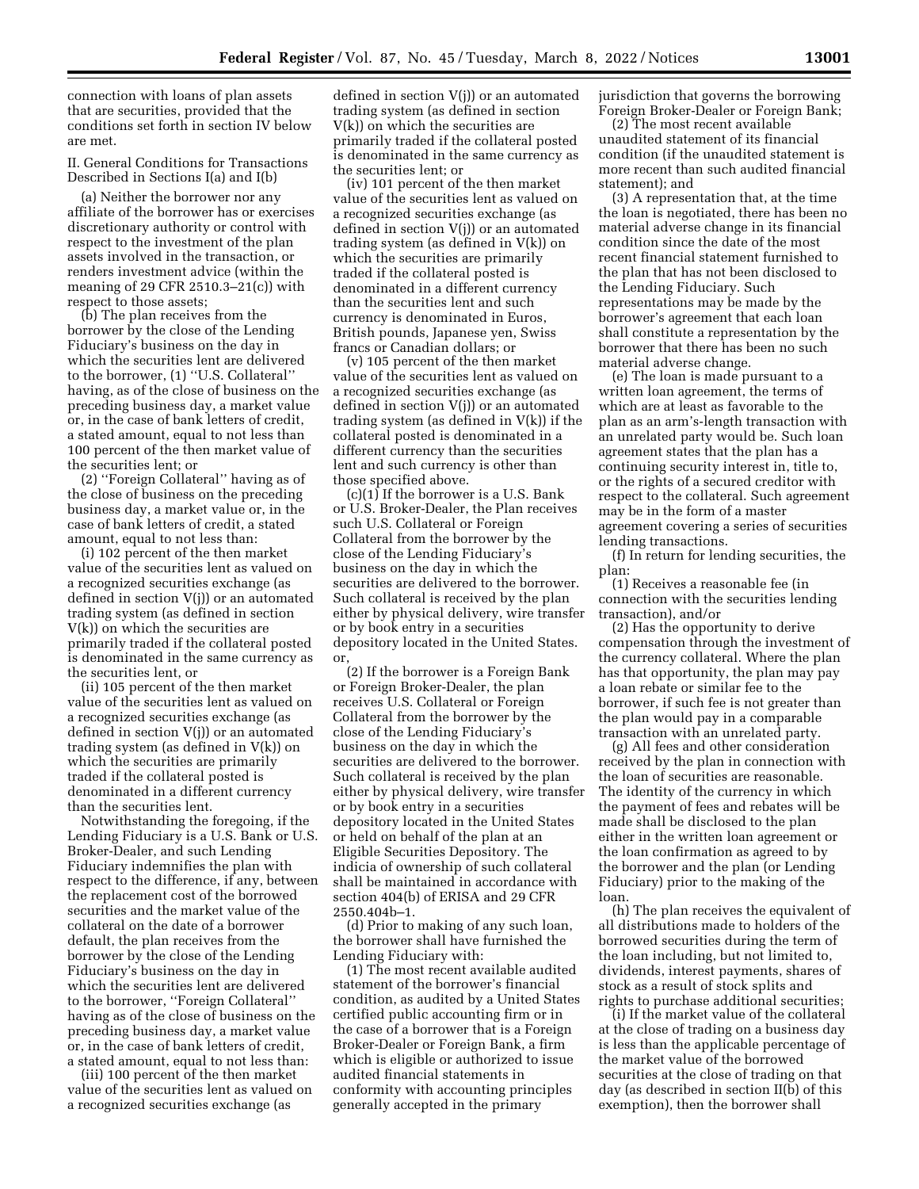connection with loans of plan assets that are securities, provided that the conditions set forth in section IV below are met.

II. General Conditions for Transactions Described in Sections I(a) and I(b)

(a) Neither the borrower nor any affiliate of the borrower has or exercises discretionary authority or control with respect to the investment of the plan assets involved in the transaction, or renders investment advice (within the meaning of 29 CFR 2510.3–21(c)) with respect to those assets;

(b) The plan receives from the borrower by the close of the Lending Fiduciary's business on the day in which the securities lent are delivered to the borrower, (1) ''U.S. Collateral'' having, as of the close of business on the preceding business day, a market value or, in the case of bank letters of credit, a stated amount, equal to not less than 100 percent of the then market value of the securities lent; or

(2) ''Foreign Collateral'' having as of the close of business on the preceding business day, a market value or, in the case of bank letters of credit, a stated amount, equal to not less than:

(i) 102 percent of the then market value of the securities lent as valued on a recognized securities exchange (as defined in section V(j)) or an automated trading system (as defined in section V(k)) on which the securities are primarily traded if the collateral posted is denominated in the same currency as the securities lent, or

(ii) 105 percent of the then market value of the securities lent as valued on a recognized securities exchange (as defined in section V(j)) or an automated trading system (as defined in V(k)) on which the securities are primarily traded if the collateral posted is denominated in a different currency than the securities lent.

Notwithstanding the foregoing, if the Lending Fiduciary is a U.S. Bank or U.S. Broker-Dealer, and such Lending Fiduciary indemnifies the plan with respect to the difference, if any, between the replacement cost of the borrowed securities and the market value of the collateral on the date of a borrower default, the plan receives from the borrower by the close of the Lending Fiduciary's business on the day in which the securities lent are delivered to the borrower, ''Foreign Collateral'' having as of the close of business on the preceding business day, a market value or, in the case of bank letters of credit, a stated amount, equal to not less than:

(iii) 100 percent of the then market value of the securities lent as valued on a recognized securities exchange (as

defined in section V(j)) or an automated trading system (as defined in section V(k)) on which the securities are primarily traded if the collateral posted is denominated in the same currency as the securities lent; or

(iv) 101 percent of the then market value of the securities lent as valued on a recognized securities exchange (as defined in section V(j)) or an automated trading system (as defined in V(k)) on which the securities are primarily traded if the collateral posted is denominated in a different currency than the securities lent and such currency is denominated in Euros, British pounds, Japanese yen, Swiss francs or Canadian dollars; or

(v) 105 percent of the then market value of the securities lent as valued on a recognized securities exchange (as defined in section V(j)) or an automated trading system (as defined in V(k)) if the collateral posted is denominated in a different currency than the securities lent and such currency is other than those specified above.

 $(c)(1)$  If the borrower is a U.S. Bank or U.S. Broker-Dealer, the Plan receives such U.S. Collateral or Foreign Collateral from the borrower by the close of the Lending Fiduciary's business on the day in which the securities are delivered to the borrower. Such collateral is received by the plan either by physical delivery, wire transfer or by book entry in a securities depository located in the United States. or,

(2) If the borrower is a Foreign Bank or Foreign Broker-Dealer, the plan receives U.S. Collateral or Foreign Collateral from the borrower by the close of the Lending Fiduciary's business on the day in which the securities are delivered to the borrower. Such collateral is received by the plan either by physical delivery, wire transfer or by book entry in a securities depository located in the United States or held on behalf of the plan at an Eligible Securities Depository. The indicia of ownership of such collateral shall be maintained in accordance with section 404(b) of ERISA and 29 CFR 2550.404b–1.

(d) Prior to making of any such loan, the borrower shall have furnished the Lending Fiduciary with:

(1) The most recent available audited statement of the borrower's financial condition, as audited by a United States certified public accounting firm or in the case of a borrower that is a Foreign Broker-Dealer or Foreign Bank, a firm which is eligible or authorized to issue audited financial statements in conformity with accounting principles generally accepted in the primary

jurisdiction that governs the borrowing Foreign Broker-Dealer or Foreign Bank;

(2) The most recent available unaudited statement of its financial condition (if the unaudited statement is more recent than such audited financial statement); and

(3) A representation that, at the time the loan is negotiated, there has been no material adverse change in its financial condition since the date of the most recent financial statement furnished to the plan that has not been disclosed to the Lending Fiduciary. Such representations may be made by the borrower's agreement that each loan shall constitute a representation by the borrower that there has been no such material adverse change.

(e) The loan is made pursuant to a written loan agreement, the terms of which are at least as favorable to the plan as an arm's-length transaction with an unrelated party would be. Such loan agreement states that the plan has a continuing security interest in, title to, or the rights of a secured creditor with respect to the collateral. Such agreement may be in the form of a master agreement covering a series of securities lending transactions.

(f) In return for lending securities, the plan:

(1) Receives a reasonable fee (in connection with the securities lending transaction), and/or

(2) Has the opportunity to derive compensation through the investment of the currency collateral. Where the plan has that opportunity, the plan may pay a loan rebate or similar fee to the borrower, if such fee is not greater than the plan would pay in a comparable transaction with an unrelated party.

(g) All fees and other consideration received by the plan in connection with the loan of securities are reasonable. The identity of the currency in which the payment of fees and rebates will be made shall be disclosed to the plan either in the written loan agreement or the loan confirmation as agreed to by the borrower and the plan (or Lending Fiduciary) prior to the making of the loan.

(h) The plan receives the equivalent of all distributions made to holders of the borrowed securities during the term of the loan including, but not limited to, dividends, interest payments, shares of stock as a result of stock splits and rights to purchase additional securities;

(i) If the market value of the collateral at the close of trading on a business day is less than the applicable percentage of the market value of the borrowed securities at the close of trading on that day (as described in section II(b) of this exemption), then the borrower shall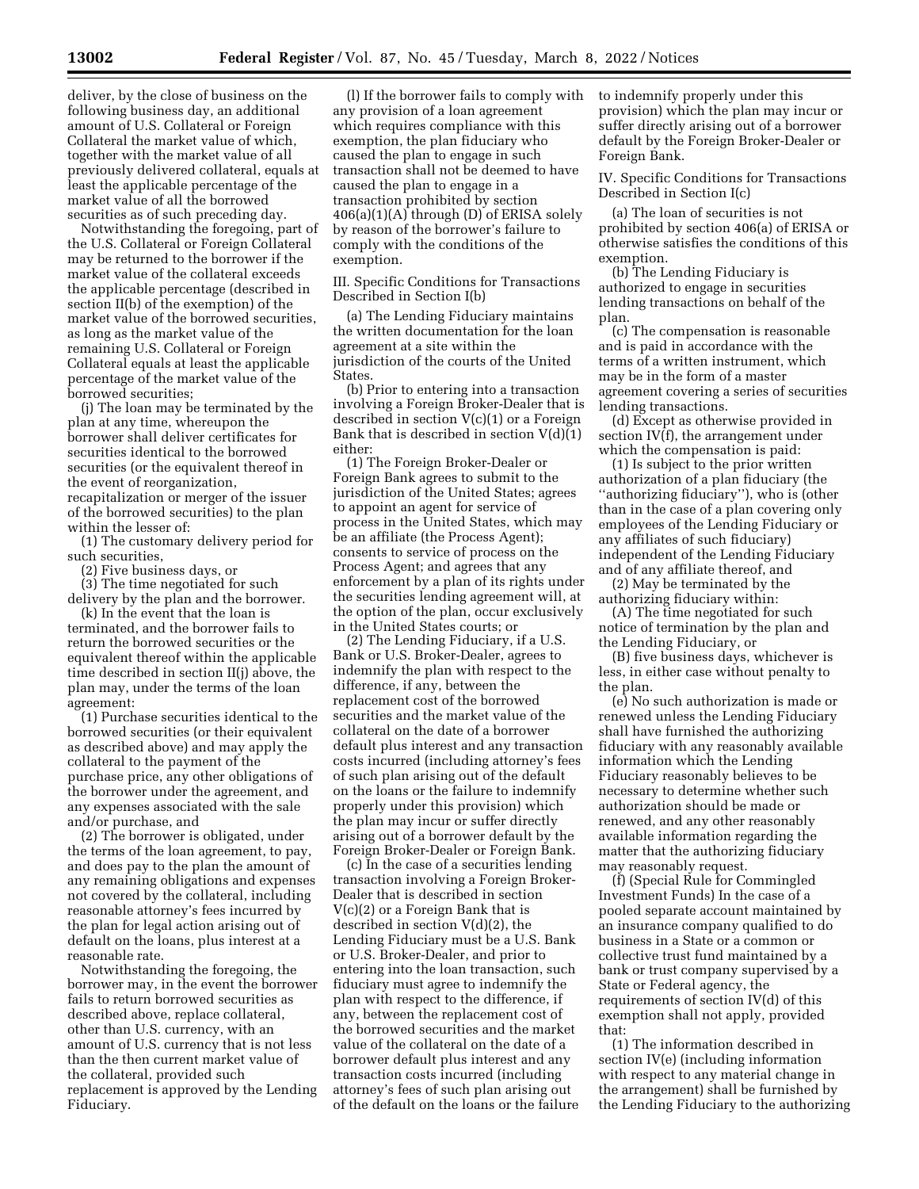deliver, by the close of business on the following business day, an additional amount of U.S. Collateral or Foreign Collateral the market value of which, together with the market value of all previously delivered collateral, equals at least the applicable percentage of the market value of all the borrowed securities as of such preceding day.

Notwithstanding the foregoing, part of the U.S. Collateral or Foreign Collateral may be returned to the borrower if the market value of the collateral exceeds the applicable percentage (described in section II(b) of the exemption) of the market value of the borrowed securities, as long as the market value of the remaining U.S. Collateral or Foreign Collateral equals at least the applicable percentage of the market value of the borrowed securities;

(j) The loan may be terminated by the plan at any time, whereupon the borrower shall deliver certificates for securities identical to the borrowed securities (or the equivalent thereof in the event of reorganization, recapitalization or merger of the issuer of the borrowed securities) to the plan within the lesser of:

(1) The customary delivery period for such securities,

(2) Five business days, or

(3) The time negotiated for such delivery by the plan and the borrower.

(k) In the event that the loan is terminated, and the borrower fails to return the borrowed securities or the equivalent thereof within the applicable time described in section II(j) above, the plan may, under the terms of the loan agreement:

(1) Purchase securities identical to the borrowed securities (or their equivalent as described above) and may apply the collateral to the payment of the purchase price, any other obligations of the borrower under the agreement, and any expenses associated with the sale and/or purchase, and

(2) The borrower is obligated, under the terms of the loan agreement, to pay, and does pay to the plan the amount of any remaining obligations and expenses not covered by the collateral, including reasonable attorney's fees incurred by the plan for legal action arising out of default on the loans, plus interest at a reasonable rate.

Notwithstanding the foregoing, the borrower may, in the event the borrower fails to return borrowed securities as described above, replace collateral, other than U.S. currency, with an amount of U.S. currency that is not less than the then current market value of the collateral, provided such replacement is approved by the Lending Fiduciary.

(l) If the borrower fails to comply with any provision of a loan agreement which requires compliance with this exemption, the plan fiduciary who caused the plan to engage in such transaction shall not be deemed to have caused the plan to engage in a transaction prohibited by section 406(a)(1)(A) through (D) of ERISA solely by reason of the borrower's failure to comply with the conditions of the exemption.

III. Specific Conditions for Transactions Described in Section I(b)

(a) The Lending Fiduciary maintains the written documentation for the loan agreement at a site within the jurisdiction of the courts of the United States.

(b) Prior to entering into a transaction involving a Foreign Broker-Dealer that is described in section V(c)(1) or a Foreign Bank that is described in section V(d)(1) either:

(1) The Foreign Broker-Dealer or Foreign Bank agrees to submit to the jurisdiction of the United States; agrees to appoint an agent for service of process in the United States, which may be an affiliate (the Process Agent); consents to service of process on the Process Agent; and agrees that any enforcement by a plan of its rights under the securities lending agreement will, at the option of the plan, occur exclusively in the United States courts; or

(2) The Lending Fiduciary, if a U.S. Bank or U.S. Broker-Dealer, agrees to indemnify the plan with respect to the difference, if any, between the replacement cost of the borrowed securities and the market value of the collateral on the date of a borrower default plus interest and any transaction costs incurred (including attorney's fees of such plan arising out of the default on the loans or the failure to indemnify properly under this provision) which the plan may incur or suffer directly arising out of a borrower default by the Foreign Broker-Dealer or Foreign Bank.

(c) In the case of a securities lending transaction involving a Foreign Broker-Dealer that is described in section V(c)(2) or a Foreign Bank that is described in section V(d)(2), the Lending Fiduciary must be a U.S. Bank or U.S. Broker-Dealer, and prior to entering into the loan transaction, such fiduciary must agree to indemnify the plan with respect to the difference, if any, between the replacement cost of the borrowed securities and the market value of the collateral on the date of a borrower default plus interest and any transaction costs incurred (including attorney's fees of such plan arising out of the default on the loans or the failure to indemnify properly under this provision) which the plan may incur or suffer directly arising out of a borrower default by the Foreign Broker-Dealer or Foreign Bank.

IV. Specific Conditions for Transactions Described in Section I(c)

(a) The loan of securities is not prohibited by section 406(a) of ERISA or otherwise satisfies the conditions of this exemption.

(b) The Lending Fiduciary is authorized to engage in securities lending transactions on behalf of the plan.

(c) The compensation is reasonable and is paid in accordance with the terms of a written instrument, which may be in the form of a master agreement covering a series of securities lending transactions.

(d) Except as otherwise provided in section IV(f), the arrangement under which the compensation is paid:

(1) Is subject to the prior written authorization of a plan fiduciary (the ''authorizing fiduciary''), who is (other than in the case of a plan covering only employees of the Lending Fiduciary or any affiliates of such fiduciary) independent of the Lending Fiduciary and of any affiliate thereof, and

(2) May be terminated by the authorizing fiduciary within:

(A) The time negotiated for such notice of termination by the plan and the Lending Fiduciary, or

(B) five business days, whichever is less, in either case without penalty to the plan.

(e) No such authorization is made or renewed unless the Lending Fiduciary shall have furnished the authorizing fiduciary with any reasonably available information which the Lending Fiduciary reasonably believes to be necessary to determine whether such authorization should be made or renewed, and any other reasonably available information regarding the matter that the authorizing fiduciary may reasonably request.

(f) (Special Rule for Commingled Investment Funds) In the case of a pooled separate account maintained by an insurance company qualified to do business in a State or a common or collective trust fund maintained by a bank or trust company supervised by a State or Federal agency, the requirements of section IV(d) of this exemption shall not apply, provided that:

(1) The information described in section IV(e) (including information with respect to any material change in the arrangement) shall be furnished by the Lending Fiduciary to the authorizing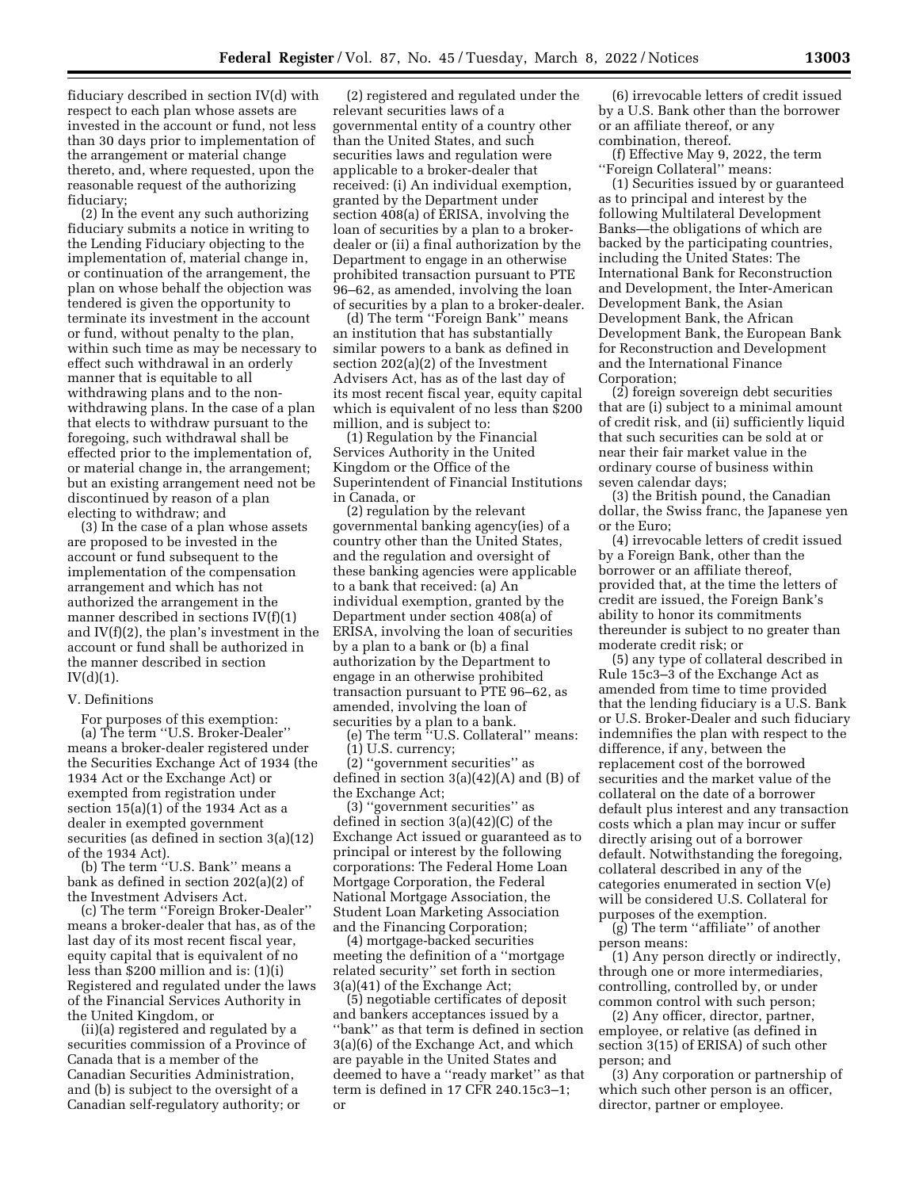fiduciary described in section IV(d) with respect to each plan whose assets are invested in the account or fund, not less than 30 days prior to implementation of the arrangement or material change thereto, and, where requested, upon the reasonable request of the authorizing fiduciary;

(2) In the event any such authorizing fiduciary submits a notice in writing to the Lending Fiduciary objecting to the implementation of, material change in, or continuation of the arrangement, the plan on whose behalf the objection was tendered is given the opportunity to terminate its investment in the account or fund, without penalty to the plan, within such time as may be necessary to effect such withdrawal in an orderly manner that is equitable to all withdrawing plans and to the nonwithdrawing plans. In the case of a plan that elects to withdraw pursuant to the foregoing, such withdrawal shall be effected prior to the implementation of, or material change in, the arrangement; but an existing arrangement need not be discontinued by reason of a plan electing to withdraw; and

(3) In the case of a plan whose assets are proposed to be invested in the account or fund subsequent to the implementation of the compensation arrangement and which has not authorized the arrangement in the manner described in sections IV(f)(1) and IV(f)(2), the plan's investment in the account or fund shall be authorized in the manner described in section IV(d)(1).

### V. Definitions

For purposes of this exemption: (a) The term ''U.S. Broker-Dealer'' means a broker-dealer registered under the Securities Exchange Act of 1934 (the 1934 Act or the Exchange Act) or exempted from registration under section  $15(a)(1)$  of the 1934 Act as a dealer in exempted government securities (as defined in section 3(a)(12) of the 1934 Act).

(b) The term ''U.S. Bank'' means a bank as defined in section 202(a)(2) of the Investment Advisers Act.

(c) The term ''Foreign Broker-Dealer'' means a broker-dealer that has, as of the last day of its most recent fiscal year, equity capital that is equivalent of no less than \$200 million and is: (1)(i) Registered and regulated under the laws of the Financial Services Authority in the United Kingdom, or

(ii)(a) registered and regulated by a securities commission of a Province of Canada that is a member of the Canadian Securities Administration, and (b) is subject to the oversight of a Canadian self-regulatory authority; or

(2) registered and regulated under the relevant securities laws of a governmental entity of a country other than the United States, and such securities laws and regulation were applicable to a broker-dealer that received: (i) An individual exemption, granted by the Department under section 408(a) of ERISA, involving the loan of securities by a plan to a brokerdealer or (ii) a final authorization by the Department to engage in an otherwise prohibited transaction pursuant to PTE 96–62, as amended, involving the loan of securities by a plan to a broker-dealer.

(d) The term ''Foreign Bank'' means an institution that has substantially similar powers to a bank as defined in section 202(a)(2) of the Investment Advisers Act, has as of the last day of its most recent fiscal year, equity capital which is equivalent of no less than \$200 million, and is subject to:

(1) Regulation by the Financial Services Authority in the United Kingdom or the Office of the Superintendent of Financial Institutions in Canada, or

(2) regulation by the relevant governmental banking agency(ies) of a country other than the United States, and the regulation and oversight of these banking agencies were applicable to a bank that received: (a) An individual exemption, granted by the Department under section 408(a) of ERISA, involving the loan of securities by a plan to a bank or (b) a final authorization by the Department to engage in an otherwise prohibited transaction pursuant to PTE 96–62, as amended, involving the loan of securities by a plan to a bank.

(e) The term ''U.S. Collateral'' means: (1) U.S. currency;

(2) ''government securities'' as defined in section 3(a)(42)(A) and (B) of the Exchange Act;

(3) ''government securities'' as defined in section 3(a)(42)(C) of the Exchange Act issued or guaranteed as to principal or interest by the following corporations: The Federal Home Loan Mortgage Corporation, the Federal National Mortgage Association, the Student Loan Marketing Association and the Financing Corporation;

(4) mortgage-backed securities meeting the definition of a ''mortgage related security'' set forth in section 3(a)(41) of the Exchange Act;

(5) negotiable certificates of deposit and bankers acceptances issued by a ''bank'' as that term is defined in section 3(a)(6) of the Exchange Act, and which are payable in the United States and deemed to have a ''ready market'' as that term is defined in 17 CFR 240.15c3–1; or

(6) irrevocable letters of credit issued by a U.S. Bank other than the borrower or an affiliate thereof, or any combination, thereof.

(f) Effective May 9, 2022, the term ''Foreign Collateral'' means:

(1) Securities issued by or guaranteed as to principal and interest by the following Multilateral Development Banks—the obligations of which are backed by the participating countries, including the United States: The International Bank for Reconstruction and Development, the Inter-American Development Bank, the Asian Development Bank, the African Development Bank, the European Bank for Reconstruction and Development and the International Finance Corporation;

(2) foreign sovereign debt securities that are (i) subject to a minimal amount of credit risk, and (ii) sufficiently liquid that such securities can be sold at or near their fair market value in the ordinary course of business within seven calendar days;

(3) the British pound, the Canadian dollar, the Swiss franc, the Japanese yen or the Euro;

(4) irrevocable letters of credit issued by a Foreign Bank, other than the borrower or an affiliate thereof, provided that, at the time the letters of credit are issued, the Foreign Bank's ability to honor its commitments thereunder is subject to no greater than moderate credit risk; or

(5) any type of collateral described in Rule 15c3–3 of the Exchange Act as amended from time to time provided that the lending fiduciary is a U.S. Bank or U.S. Broker-Dealer and such fiduciary indemnifies the plan with respect to the difference, if any, between the replacement cost of the borrowed securities and the market value of the collateral on the date of a borrower default plus interest and any transaction costs which a plan may incur or suffer directly arising out of a borrower default. Notwithstanding the foregoing, collateral described in any of the categories enumerated in section V(e) will be considered U.S. Collateral for purposes of the exemption.

(g) The term ''affiliate'' of another person means:

(1) Any person directly or indirectly, through one or more intermediaries, controlling, controlled by, or under common control with such person;

(2) Any officer, director, partner, employee, or relative (as defined in section 3(15) of ERISA) of such other person; and

(3) Any corporation or partnership of which such other person is an officer, director, partner or employee.